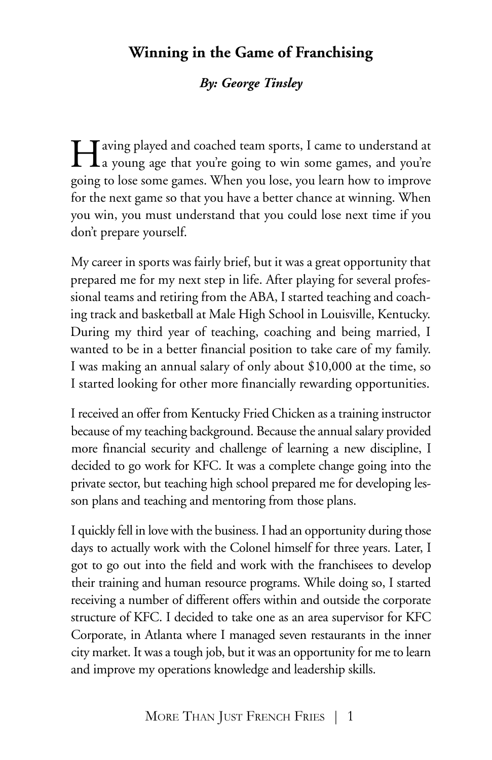# **Winning in the Game of Franchising**

### *By: George Tinsley*

Having played and coached team sports, <sup>I</sup> came to understand at a young age that you're going to win some games, and you're going to lose some games. When you lose, you learn how to improve for the next game so that you have a better chance at winning. When you win, you must understand that you could lose next time if you don't prepare yourself.

My career in sports was fairly brief, but it was a great opportunity that prepared me for my next step in life. After playing for several professional teams and retiring from the ABA, I started teaching and coaching track and basketball at Male High School in Louisville, Kentucky. During my third year of teaching, coaching and being married, I wanted to be in a better financial position to take care of my family. I was making an annual salary of only about \$10,000 at the time, so I started looking for other more financially rewarding opportunities.

I received an offer from Kentucky Fried Chicken as a training instructor because of my teaching background. Because the annual salary provided more financial security and challenge of learning a new discipline, I decided to go work for KFC. It was a complete change going into the private sector, but teaching high school prepared me for developing lesson plans and teaching and mentoring from those plans.

I quickly fell in love with the business. I had an opportunity during those days to actually work with the Colonel himself for three years. Later, I got to go out into the field and work with the franchisees to develop their training and human resource programs. While doing so, I started receiving a number of different offers within and outside the corporate structure of KFC. I decided to take one as an area supervisor for KFC Corporate, in Atlanta where I managed seven restaurants in the inner city market. It was a tough job, but it was an opportunity for meto learn and improve my operations knowledge and leadership skills.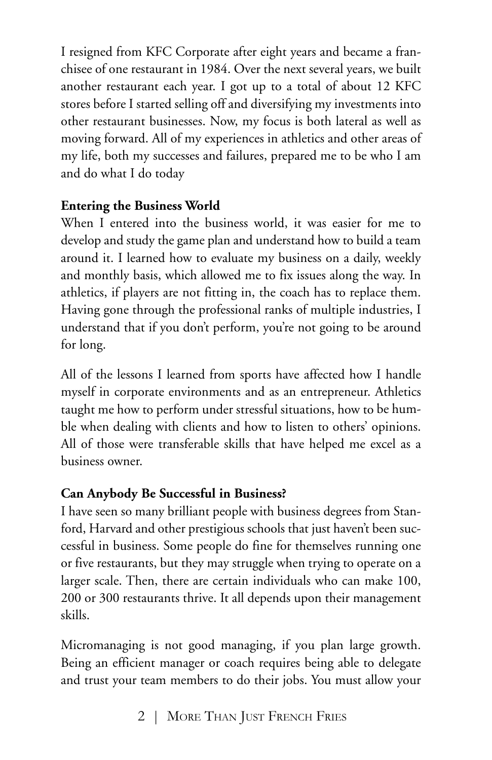I resigned from KFC Corporate after eight years and became a franchisee of one restaurant in 1984. Over the next several years, we built another restaurant each year. I got up to a total of about 12 KFC stores before I started selling off and diversifying my investments into other restaurant businesses. Now, my focus is both lateral as well as moving forward. All of my experiences in athletics and other areas of my life, both my successes and failures, prepared me to be who I am and do what I do today

## **Entering the Business World**

When I entered into the business world, it was easier for me to develop and study the game plan and understand how to build a team around it. I learned how to evaluate my business on a daily, weekly and monthly basis, which allowed me to fix issues along the way. In athletics, if players are not fitting in, the coach has to replace them. Having gone through the professional ranks of multiple industries, I understand that if you don't perform, you're not going to be around for long.

All of the lessons I learned from sports have affected how I handle myself in corporate environments and as an entrepreneur. Athletics taught me how to perform under stressful situations, how to be humble when dealing with clients and how to listen to others' opinions. All of those were transferable skills that have helped me excel as a business owner.

### **Can Anybody Be Successful in Business?**

I have seen so many brilliant people with business degrees from Stanford, Harvard and other prestigious schools that just haven't been successful in business. Some people do fine for themselves running one or five restaurants, but they may struggle when trying to operate on a larger scale. Then, there are certain individuals who can make 100, 200 or 300 restaurants thrive. It all depends upon their management skills.

Micromanaging is not good managing, if you plan large growth. Being an efficient manager or coach requires being able to delegate and trust your team members to do their jobs. You must allow your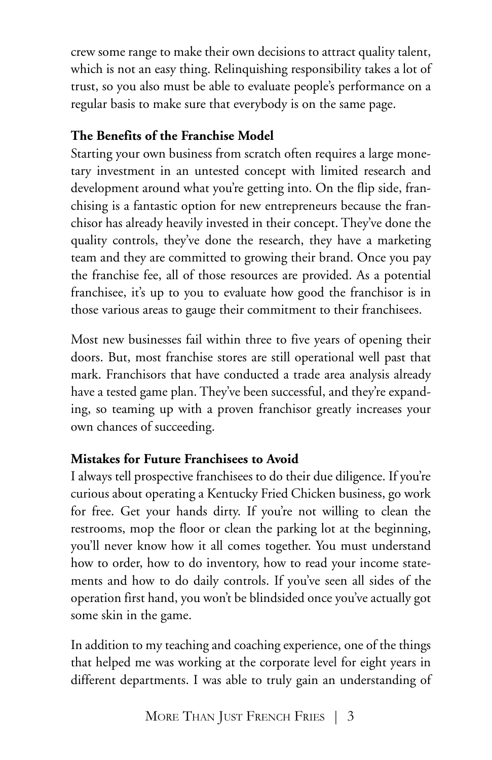crew some range to make their own decisions to attract quality talent, which is not an easy thing. Relinquishing responsibility takes a lot of trust, so you also must be able to evaluate people's performance on a regular basis to make sure that everybody is on the same page.

## **The Benefits of the Franchise Model**

Starting your own business from scratch often requires a large monetary investment in an untested concept with limited research and development around what you're getting into. On the flip side, franchising is a fantastic option for new entrepreneurs because the franchisor has already heavily invested in their concept. They've done the quality controls, they've done the research, they have a marketing team and they are committed to growing their brand. Once you pay the franchise fee, all of those resources are provided. As a potential franchisee, it's up to you to evaluate how good the franchisor is in those various areas to gauge their commitment to their franchisees.

Most new businesses fail within three to five years of opening their doors. But, most franchise stores are still operational well past that mark. Franchisors that have conducted a trade area analysis already have a tested game plan. They've been successful, and they're expanding, so teaming up with a proven franchisor greatly increases your own chances of succeeding.

# **Mistakes for Future Franchisees to Avoid**

I always tell prospective franchisees to do their due diligence. If you're curious about operating a Kentucky Fried Chicken business, go work for free. Get your hands dirty. If you're not willing to clean the restrooms, mop the floor or clean the parking lot at the beginning, you'll never know how it all comes together. You must understand how to order, how to do inventory, how to read your income statements and how to do daily controls. If you've seen all sides of the operation first hand, you won't be blindsided once you've actually got some skin in the game.

In addition to my teaching and coaching experience, one of the things that helped me was working at the corporate level for eight years in different departments. I was able to truly gain an understanding of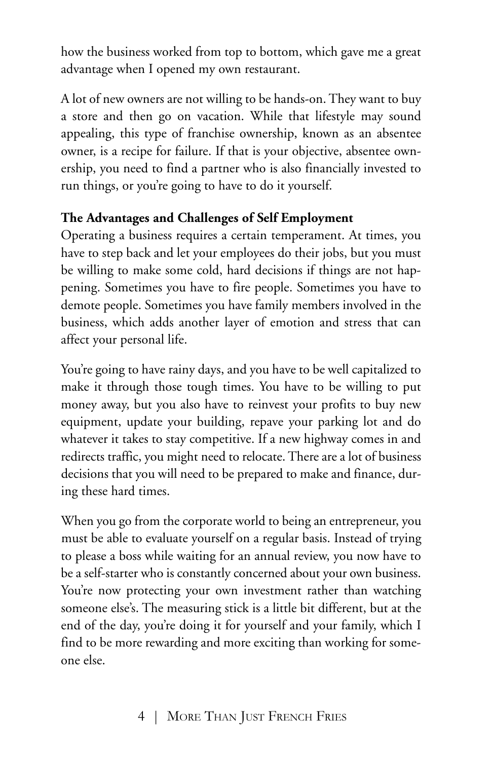how the business worked from top to bottom, which gave me a great advantage when I opened my own restaurant.

A lot of new owners are not willing to be hands-on. They want to buy a store and then go on vacation. While that lifestyle may sound appealing, this type of franchise ownership, known as an absentee owner, is a recipe for failure. If that is your objective, absentee ownership, you need to find a partner who is also financially invested to run things, or you're going to have to do it yourself.

### **The Advantages and Challenges of Self Employment**

Operating a business requires a certain temperament. At times, you have to step back and let your employees do their jobs, but you must be willing to make some cold, hard decisions if things are not happening. Sometimes you have to fire people. Sometimes you have to demote people. Sometimes you have family members involved in the business, which adds another layer of emotion and stress that can affect your personal life.

You're going to have rainy days, and you have to be well capitalized to make it through those tough times. You have to be willing to put money away, but you also have to reinvest your profits to buy new equipment, update your building, repave your parking lot and do whatever it takes to stay competitive. If a new highway comes in and redirects traffic, you might need to relocate.There are a lot of business decisions that you will need to be prepared to make and finance, during these hard times.

When you go from the corporate world to being an entrepreneur, you must be able to evaluate yourself on a regular basis. Instead of trying to please a boss while waiting for an annual review, you now have to be a self-starter who is constantly concerned about your own business. You're now protecting your own investment rather than watching someone else's. The measuring stick is a little bit different, but at the end of the day, you're doing it for yourself and your family, which I find to be more rewarding and more exciting than working for someone else.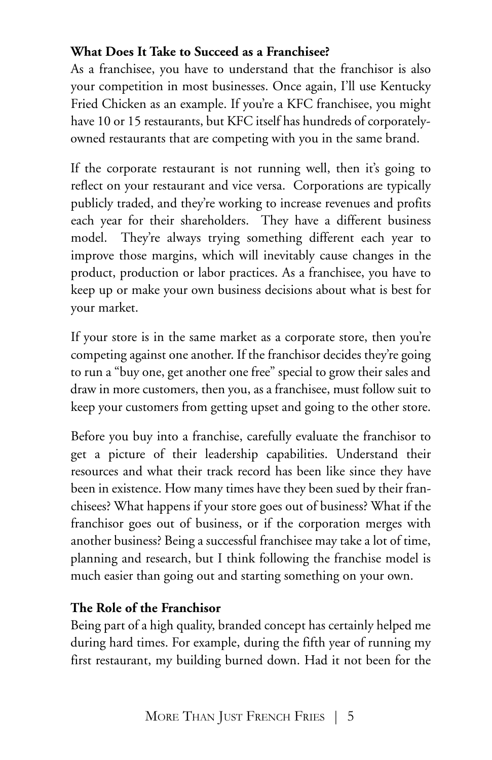## **What Does It Take to Succeed as a Franchisee?**

As a franchisee, you have to understand that the franchisor is also your competition in most businesses. Once again, I'll use Kentucky Fried Chicken as an example. If you're a KFC franchisee, you might have 10 or 15 restaurants, but KFC itself has hundreds of corporatelyowned restaurants that are competing with you in the same brand.

If the corporate restaurant is not running well, then it's going to reflect on your restaurant and vice versa. Corporations are typically publicly traded, and they're working to increase revenues and profits each year for their shareholders. They have a different business model. They're always trying something different each year to improve those margins, which will inevitably cause changes in the product, production or labor practices. As a franchisee, you have to keep up or make your own business decisions about what is best for your market.

If your store is in the same market as a corporate store, then you're competing against one another. If the franchisor decides they're going to run a "buy one, get another one free" special to grow their sales and draw in more customers, then you, as a franchisee, must follow suit to keep your customers from getting upset and going to the other store.

Before you buy into a franchise, carefully evaluate the franchisor to get a picture of their leadership capabilities. Understand their resources and what their track record has been like since they have been in existence. How many times have they been sued by their franchisees? What happens if your store goes out of business? What if the franchisor goes out of business, or if the corporation merges with another business? Being a successful franchisee may take a lot of time, planning and research, but I think following the franchise model is much easier than going out and starting something on your own.

### **The Role of the Franchisor**

Being part of a high quality, branded concept has certainly helped me during hard times. For example, during the fifth year of running my first restaurant, my building burned down. Had it not been for the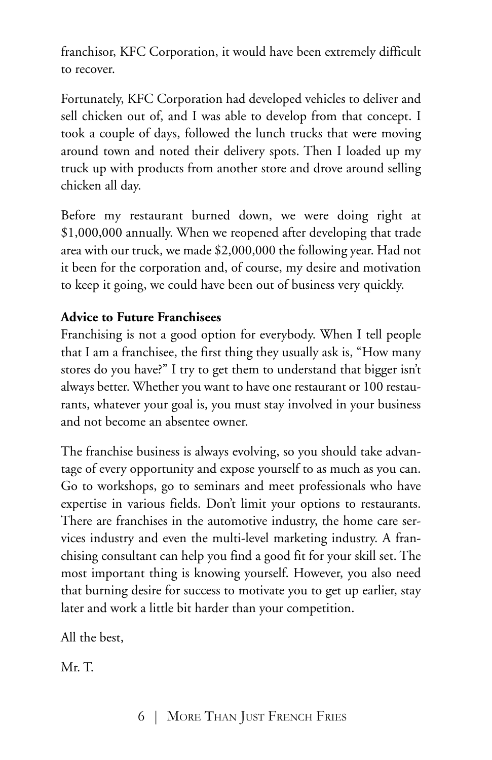franchisor, KFC Corporation, it would have been extremely difficult to recover.

Fortunately, KFC Corporation had developed vehicles to deliver and sell chicken out of, and I was able to develop from that concept. I took a couple of days, followed the lunch trucks that were moving around town and noted their delivery spots. Then I loaded up my truck up with products from another store and drove around selling chicken all day.

Before my restaurant burned down, we were doing right at \$1,000,000 annually. When we reopened after developing that trade area with our truck, we made \$2,000,000 the following year. Had not it been for the corporation and, of course, my desire and motivation to keep it going, we could have been out of business very quickly.

## **Advice to Future Franchisees**

Franchising is not a good option for everybody. When I tell people that I am a franchisee, the first thing they usually ask is, "How many stores do you have?" I try to get them to understand that bigger isn't always better. Whether you want to have one restaurant or 100 restaurants, whatever your goal is, you must stay involved in your business and not become an absentee owner.

The franchise business is always evolving, so you should take advantage of every opportunity and expose yourself to as much as you can. Go to workshops, go to seminars and meet professionals who have expertise in various fields. Don't limit your options to restaurants. There are franchises in the automotive industry, the home care services industry and even the multi-level marketing industry. A franchising consultant can help you find a good fit for your skill set. The most important thing is knowing yourself. However, you also need that burning desire for success to motivate you to get up earlier, stay later and work a little bit harder than your competition.

All the best,

Mr. T.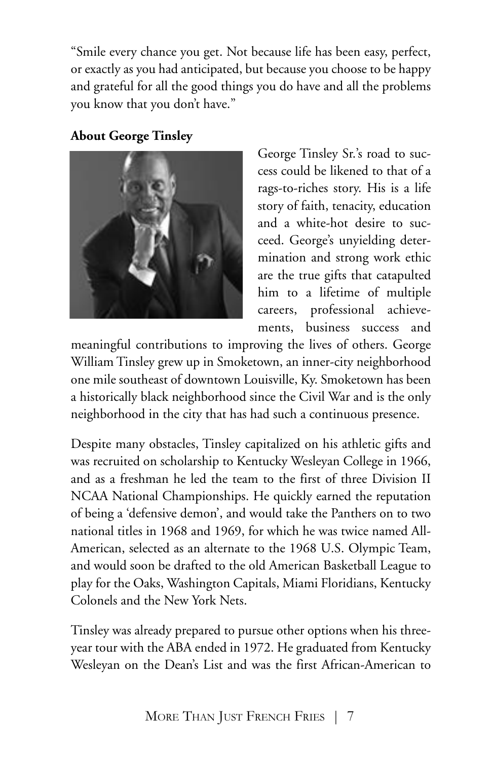"Smile every chance you get. Not because life has been easy, perfect, or exactly as you had anticipated, but because you choose to be happy and grateful for all the good things you do have and all the problems you know that you don't have."

## **About George Tinsley**



George Tinsley Sr.'s road to success could be likened to that of a rags-to-riches story. His is a life story of faith, tenacity, education and a white-hot desire to succeed. George's unyielding determination and strong work ethic are the true gifts that catapulted him to a lifetime of multiple careers, professional achievements, business success and

meaningful contributions to improving the lives of others. George William Tinsley grew up in Smoketown, an inner-city neighborhood one mile southeast of downtown Louisville, Ky. Smoketown has been a historically black neighborhood since the Civil War and is the only neighborhood in the city that has had such a continuous presence.

Despite many obstacles, Tinsley capitalized on his athletic gifts and was recruited on scholarship to Kentucky Wesleyan College in 1966, and as a freshman he led the team to the first of three Division II NCAA National Championships. He quickly earned the reputation of being a 'defensive demon', and would take the Panthers on to two national titles in 1968 and 1969, for which he was twice named All-American, selected as an alternate to the 1968 U.S. Olympic Team, and would soon be drafted to the old American Basketball League to play for the Oaks, Washington Capitals, Miami Floridians, Kentucky Colonels and the New York Nets.

Tinsley was already prepared to pursue other options when his threeyear tour with the ABA ended in 1972. He graduated from Kentucky Wesleyan on the Dean's List and was the first African-American to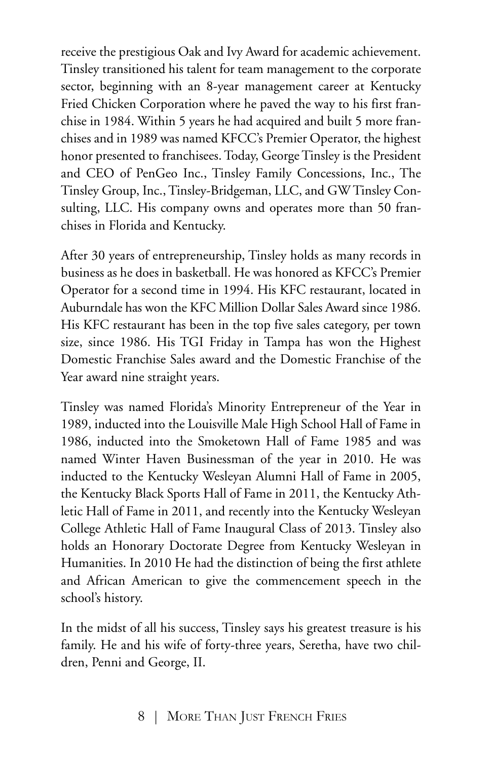receive the prestigious Oak and Ivy Award for academic achievement. Tinsley transitioned his talent for team management to the corporate sector, beginning with an 8-year management career at Kentucky Fried Chicken Corporation where he paved the way to his first franchise in 1984. Within 5 years he had acquired and built 5 more franchises and in 1989 was named KFCC's Premier Operator, the highest honor presented to franchisees. Today, George Tinsley is the President and CEO of PenGeo Inc., Tinsley Family Concessions, Inc., The Tinsley Group, Inc.,Tinsley-Bridgeman, LLC, and GW Tinsley Consulting, LLC. His company owns and operates more than 50 franchises in Florida and Kentucky.

After 30 years of entrepreneurship, Tinsley holds as many records in business as he does in basketball. He was honored as KFCC's Premier Operator for a second time in 1994. His KFC restaurant, located in Auburndale has won the KFC Million Dollar Sales Award since 1986. His KFC restaurant has been in the top five sales category, per town size, since 1986. His TGI Friday in Tampa has won the Highest Domestic Franchise Sales award and the Domestic Franchise of the Year award nine straight years.

Tinsley was named Florida's Minority Entrepreneur of the Year in 1989, inducted into the Louisville Male High School Hall of Fame in 1986, inducted into the Smoketown Hall of Fame 1985 and was named Winter Haven Businessman of the year in 2010. He was inducted to the Kentucky Wesleyan Alumni Hall of Fame in 2005, the Kentucky Black Sports Hall of Fame in 2011, the Kentucky Athletic Hall of Fame in 2011, and recently into the Kentucky Wesleyan College Athletic Hall of Fame Inaugural Class of 2013. Tinsley also holds an Honorary Doctorate Degree from Kentucky Wesleyan in Humanities. In 2010 He had the distinction of being the first athlete and African American to give the commencement speech in the school's history.

In the midst of all his success, Tinsley says his greatest treasure is his family. He and his wife of forty-three years, Seretha, have two children, Penni and George, II.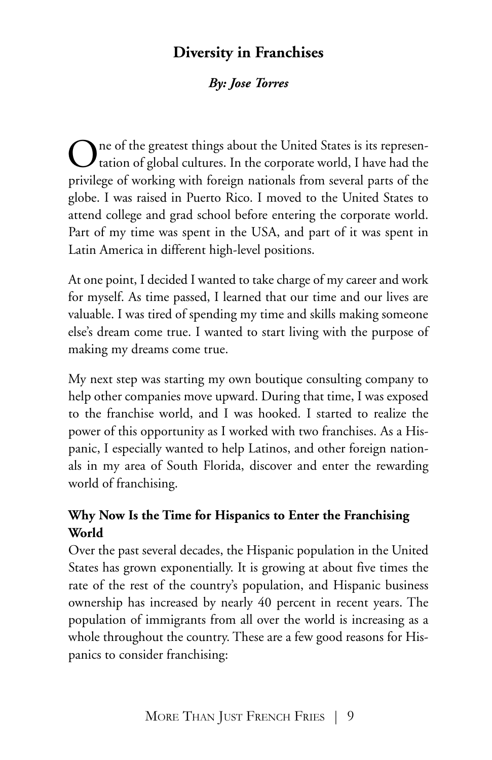# **Diversity in Franchises**

## *By: Jose Torres*

The of the greatest things about the United States is its represen- $\boldsymbol{J}$  tation of global cultures. In the corporate world, I have had the privilege of working with foreign nationals from several parts of the globe. I was raised in Puerto Rico. I moved to the United States to attend college and grad school before entering the corporate world. Part of my time was spent in the USA, and part of it was spent in Latin America in different high-level positions.

At one point, I decided I wanted to take charge of my career and work for myself. As time passed, I learned that our time and our lives are valuable. I was tired of spending my time and skills making someone else's dream come true. I wanted to start living with the purpose of making my dreams come true.

My next step was starting my own boutique consulting company to help other companies move upward. During that time, I was exposed to the franchise world, and I was hooked. I started to realize the power of this opportunity as I worked with two franchises. As a Hispanic, I especially wanted to help Latinos, and other foreign nationals in my area of South Florida, discover and enter the rewarding world of franchising.

## **Why Now Is the Time for Hispanics to Enter the Franchising World**

Over the past several decades, the Hispanic population in the United States has grown exponentially. It is growing at about five times the rate of the rest of the country's population, and Hispanic business ownership has increased by nearly 40 percent in recent years. The population of immigrants from all over the world is increasing as a whole throughout the country. These are a few good reasons for Hispanics to consider franchising: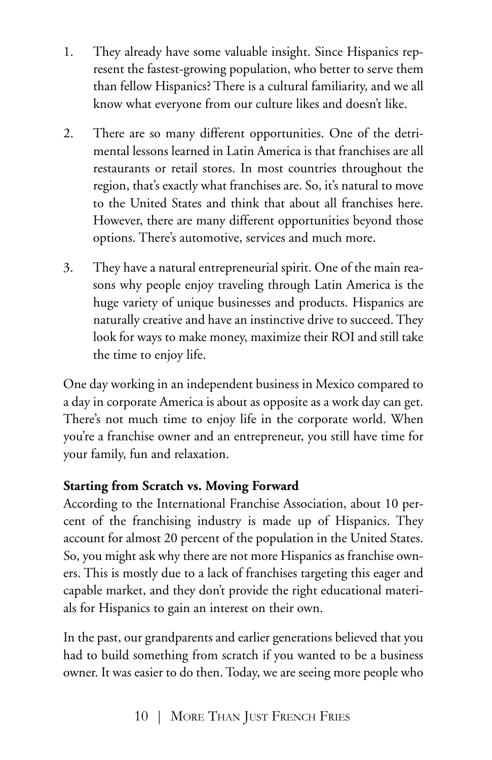- 1. They already have some valuable insight. Since Hispanics represent the fastest-growing population, who better to serve them than fellow Hispanics? There is a cultural familiarity, and we all know what everyone from our culture likes and doesn't like.
- 2. There are so many different opportunities. One of the detrimental lessons learned in Latin America is that franchises are all restaurants or retail stores. In most countries throughout the region, that's exactly what franchises are. So, it's natural to move to the United States and think that about all franchises here. However, there are many different opportunities beyond those options. There's automotive, services and much more.
- 3. They have a natural entrepreneurial spirit. One of the main reasons why people enjoy traveling through Latin America is the huge variety of unique businesses and products. Hispanics are naturally creative and have an instinctive drive to succeed. They look for ways to make money, maximize their ROI and still take the time to enjoy life.

One day working in an independent business in Mexico compared to a day in corporate America is about as opposite as a work day can get. There's not much time to enjoy life in the corporate world. When you're a franchise owner and an entrepreneur, you still have time for your family, fun and relaxation.

### **Starting from Scratch vs. Moving Forward**

According to the International Franchise Association, about 10 percent of the franchising industry is made up of Hispanics. They account for almost 20 percent of the population in the United States. So, you might ask why there are not more Hispanics as franchise owners. This is mostly due to a lack of franchises targeting this eager and capable market, and they don't provide the right educational materials for Hispanics to gain an interest on their own.

In the past, our grandparents and earlier generations believed that you had to build something from scratch if you wanted to be a business owner. It was easier to do then. Today, we are seeing more people who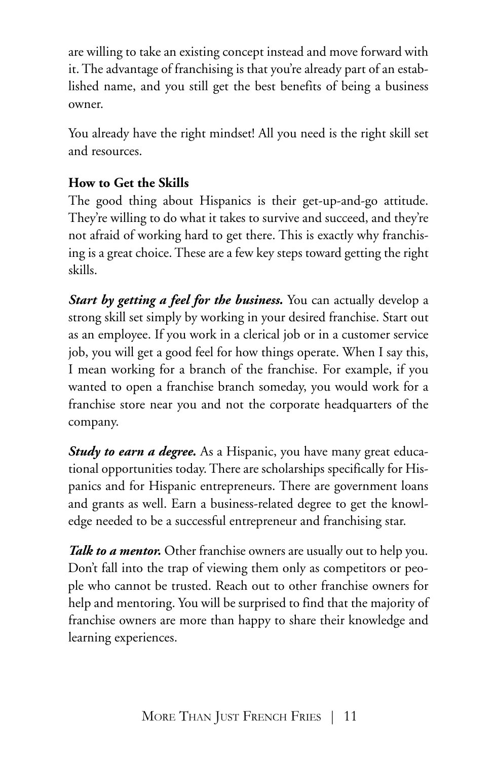are willing to take an existing concept instead and move forward with it. The advantage of franchising is that you're already part of an established name, and you still get the best benefits of being a business owner.

You already have the right mindset! All you need is the right skill set and resources.

## **How to Get the Skills**

The good thing about Hispanics is their get-up-and-go attitude. They're willing to do what it takes to survive and succeed, and they're not afraid of working hard to get there. This is exactly why franchising is a great choice. These are a few key steps toward getting the right skills.

*Start by getting a feel for the business.* You can actually develop a strong skill set simply by working in your desired franchise. Start out as an employee. If you work in a clerical job or in a customer service job, you will get a good feel for how things operate. When I say this, I mean working for a branch of the franchise. For example, if you wanted to open a franchise branch someday, you would work for a franchise store near you and not the corporate headquarters of the company.

*Study to earn a degree.* As a Hispanic, you have many great educational opportunities today. There are scholarships specifically for Hispanics and for Hispanic entrepreneurs. There are government loans and grants as well. Earn a business-related degree to get the knowledge needed to be a successful entrepreneur and franchising star.

*Talk to a mentor.* Other franchise owners are usually out to help you. Don't fall into the trap of viewing them only as competitors or people who cannot be trusted. Reach out to other franchise owners for help and mentoring. You will be surprised to find that the majority of franchise owners are more than happy to share their knowledge and learning experiences.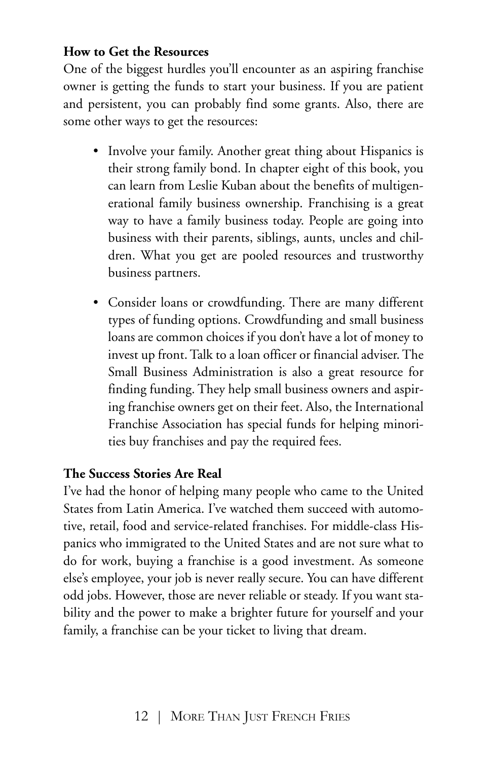#### **How to Get the Resources**

One of the biggest hurdles you'll encounter as an aspiring franchise owner is getting the funds to start your business. If you are patient and persistent, you can probably find some grants. Also, there are some other ways to get the resources:

- Involve your family. Another great thing about Hispanics is their strong family bond. In chapter eight of this book, you can learn from Leslie Kuban about the benefits of multigenerational family business ownership. Franchising is a great way to have a family business today. People are going into business with their parents, siblings, aunts, uncles and children. What you get are pooled resources and trustworthy business partners.
- Consider loans or crowdfunding. There are many different types of funding options. Crowdfunding and small business loans are common choices if you don't have a lot of money to invest up front. Talk to a loan officer or financial adviser. The Small Business Administration is also a great resource for finding funding. They help small business owners and aspiring franchise owners get on their feet. Also, the International Franchise Association has special funds for helping minorities buy franchises and pay the required fees.

### **The Success Stories Are Real**

I've had the honor of helping many people who came to the United States from Latin America. I've watched them succeed with automotive, retail, food and service-related franchises. For middle-class Hispanics who immigrated to the United States and are not sure what to do for work, buying a franchise is a good investment. As someone else's employee, your job is never really secure. You can have different odd jobs. However, those are never reliable or steady. If you want stability and the power to make a brighter future for yourself and your family, a franchise can be your ticket to living that dream.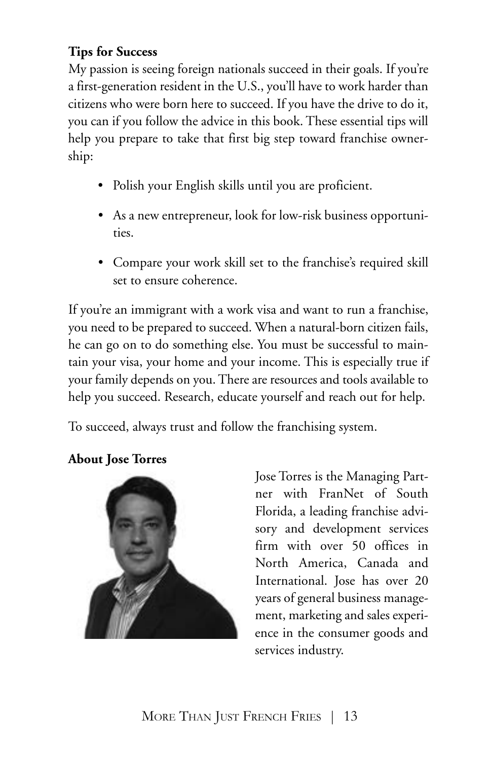## **Tips for Success**

My passion is seeing foreign nationals succeed in their goals. If you're a first-generation resident in the U.S., you'll have to work harder than citizens who were born here to succeed. If you have the drive to do it, you can if you follow the advice in this book. These essential tips will help you prepare to take that first big step toward franchise ownership:

- Polish your English skills until you are proficient.
- As a new entrepreneur, look for low-risk business opportunities.
- Compare your work skill set to the franchise's required skill set to ensure coherence.

If you're an immigrant with a work visa and want to run a franchise, you need to be prepared to succeed. When a natural-born citizen fails, he can go on to do something else. You must be successful to maintain your visa, your home and your income. This is especially true if your family depends on you.There are resources and tools available to help you succeed. Research, educate yourself and reach out for help.

To succeed, always trust and follow the franchising system.

# **About Jose Torres**



Jose Torres is the Managing Partner with FranNet of South Florida, a leading franchise advisory and development services firm with over 50 offices in North America, Canada and International. Jose has over 20 years of general business management, marketing and sales experience in the consumer goods and services industry.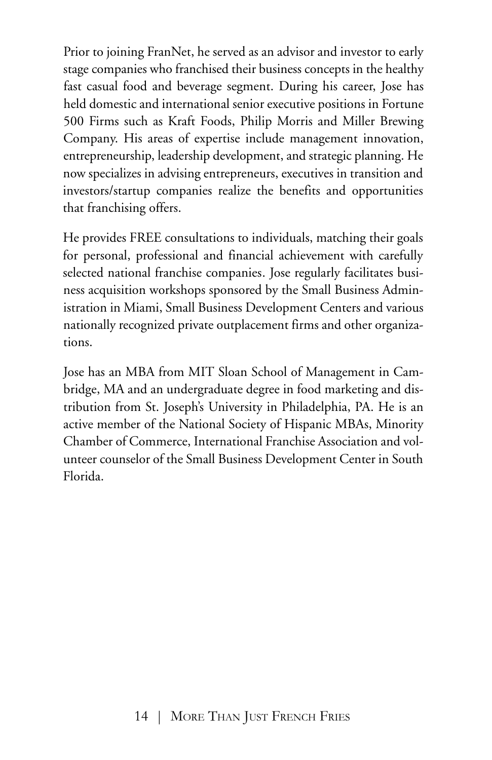Prior to joining FranNet, he served as an advisor and investor to early stage companies who franchised their business concepts in the healthy fast casual food and beverage segment. During his career, Jose has held domestic and international senior executive positions in Fortune 500 Firms such as Kraft Foods, Philip Morris and Miller Brewing Company. His areas of expertise include management innovation, entrepreneurship, leadership development, and strategic planning. He now specializes in advising entrepreneurs, executives in transition and investors/startup companies realize the benefits and opportunities that franchising offers.

He provides FREE consultations to individuals, matching their goals for personal, professional and financial achievement with carefully selected national franchise companies. Jose regularly facilitates business acquisition workshops sponsored by the Small Business Administration in Miami, Small Business Development Centers and various nationally recognized private outplacement firms and other organizations.

Jose has an MBA from MIT Sloan School of Management in Cambridge, MA and an undergraduate degree in food marketing and distribution from St. Joseph's University in Philadelphia, PA. He is an active member of the National Society of Hispanic MBAs, Minority Chamber of Commerce, International Franchise Association and volunteer counselor of the Small Business Development Center in South Florida.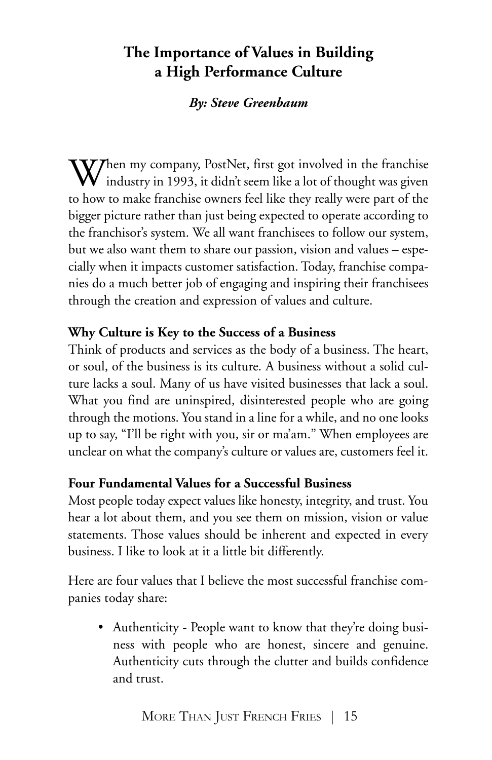# **The Importance of Values in Building a High Performance Culture**

#### *By: Steve Greenbaum*

 $\bigvee$ hen my company, PostNet, first got involved in the franchise industry in 1993, it didn't seem like a lot of thought was given to how to make franchise owners feel like they really were part of the bigger picture rather than just being expected to operate according to the franchisor's system. We all want franchisees to follow our system, but we also want them to share our passion, vision and values – especially when it impacts customer satisfaction. Today, franchise companies do a much better job of engaging and inspiring their franchisees through the creation and expression of values and culture.

#### **Why Culture is Key to the Success of a Business**

Think of products and services as the body of a business. The heart, or soul, of the business is its culture. A business without a solid culture lacks a soul. Many of us have visited businesses that lack a soul. What you find are uninspired, disinterested people who are going through the motions. You stand in a line for a while, and no one looks up to say, "I'll be right with you, sir or ma'am." When employees are unclear on what the company's culture or values are, customers feel it.

#### **Four Fundamental Values for a Successful Business**

Most people today expect values like honesty, integrity, and trust. You hear a lot about them, and you see them on mission, vision or value statements. Those values should be inherent and expected in every business. I like to look at it a little bit differently.

Here are four values that I believe the most successful franchise companies today share:

• Authenticity - People want to know that they're doing business with people who are honest, sincere and genuine. Authenticity cuts through the clutter and builds confidence and trust.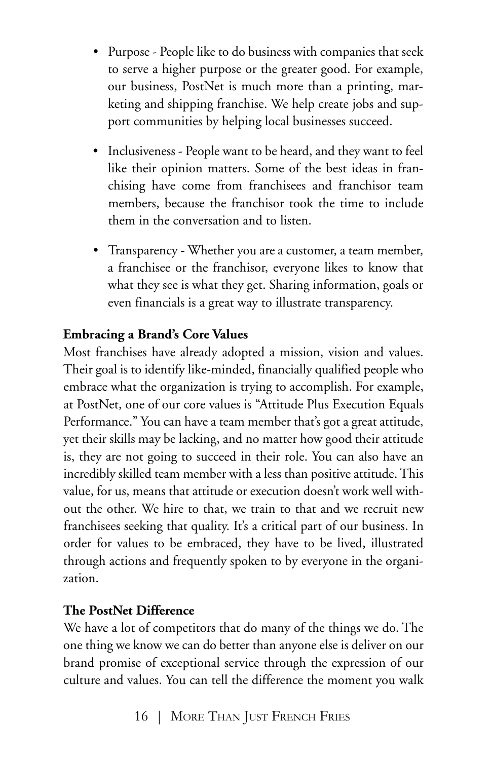- Purpose People like to do business with companies that seek to serve a higher purpose or the greater good. For example, our business, PostNet is much more than a printing, marketing and shipping franchise. We help create jobs and support communities by helping local businesses succeed.
- Inclusiveness People want to be heard, and they want to feel like their opinion matters. Some of the best ideas in franchising have come from franchisees and franchisor team members, because the franchisor took the time to include them in the conversation and to listen.
- Transparency Whether you are a customer, a team member, a franchisee or the franchisor, everyone likes to know that what they see is what they get. Sharing information, goals or even financials is a great way to illustrate transparency.

### **Embracing a Brand's Core Values**

Most franchises have already adopted a mission, vision and values. Their goal is to identify like-minded, financially qualified people who embrace what the organization is trying to accomplish. For example, at PostNet, one of our core values is "Attitude Plus Execution Equals Performance." You can have a team member that's got a great attitude, yet their skills may be lacking, and no matter how good their attitude is, they are not going to succeed in their role. You can also have an incredibly skilled team member with a less than positive attitude.This value, for us, means that attitude or execution doesn't work well without the other. We hire to that, we train to that and we recruit new franchisees seeking that quality. It's a critical part of our business. In order for values to be embraced, they have to be lived, illustrated through actions and frequently spoken to by everyone in the organization.

#### **The PostNet Difference**

We have a lot of competitors that do many of the things we do. The one thing we know we can do better than anyone else is deliver on our brand promise of exceptional service through the expression of our culture and values. You can tell the difference the moment you walk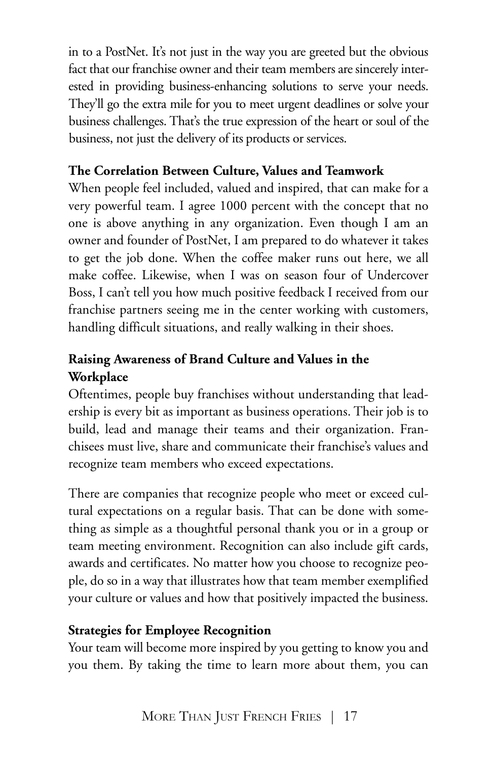in to a PostNet. It's not just in the way you are greeted but the obvious fact that our franchise owner and their team members are sincerely interested in providing business-enhancing solutions to serve your needs. They'll go the extra mile for you to meet urgent deadlines or solve your business challenges. That's the true expression of the heart or soul of the business, not just the delivery of its products or services.

### **The Correlation Between Culture, Values and Teamwork**

When people feel included, valued and inspired, that can make for a very powerful team. I agree 1000 percent with the concept that no one is above anything in any organization. Even though I am an owner and founder of PostNet, I am prepared to do whatever it takes to get the job done. When the coffee maker runs out here, we all make coffee. Likewise, when I was on season four of Undercover Boss, I can't tell you how much positive feedback I received from our franchise partners seeing me in the center working with customers, handling difficult situations, and really walking in their shoes.

### **Raising Awareness of Brand Culture and Values in the Workplace**

Oftentimes, people buy franchises without understanding that leadership is every bit as important as business operations. Their job is to build, lead and manage their teams and their organization. Franchisees must live, share and communicate their franchise's values and recognize team members who exceed expectations.

There are companies that recognize people who meet or exceed cultural expectations on a regular basis. That can be done with something as simple as a thoughtful personal thank you or in a group or team meeting environment. Recognition can also include gift cards, awards and certificates. No matter how you choose to recognize people, do so in a way that illustrates how that team member exemplified your culture or values and how that positively impacted the business.

### **Strategies for Employee Recognition**

Your team will become more inspired by you getting to know you and you them. By taking the time to learn more about them, you can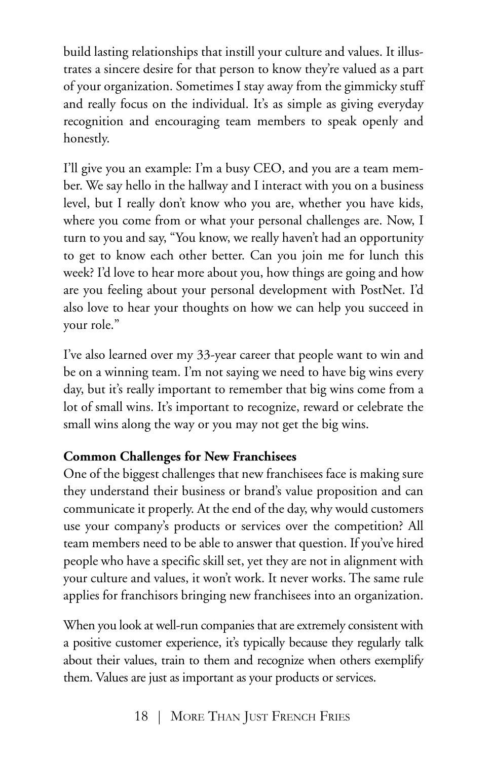build lasting relationships that instill your culture and values. It illustrates a sincere desire for that person to know they're valued as a part of your organization. Sometimes I stay away from the gimmicky stuff and really focus on the individual. It's as simple as giving everyday recognition and encouraging team members to speak openly and honestly.

I'll give you an example: I'm a busy CEO, and you are a team member. We say hello in the hallway and I interact with you on a business level, but I really don't know who you are, whether you have kids, where you come from or what your personal challenges are. Now, I turn to you and say, "You know, we really haven't had an opportunity to get to know each other better. Can you join me for lunch this week? I'd love to hear more about you, how things are going and how are you feeling about your personal development with PostNet. I'd also love to hear your thoughts on how we can help you succeed in your role."

I've also learned over my 33-year career that people want to win and be on a winning team. I'm not saying we need to have big wins every day, but it's really important to remember that big wins come from a lot of small wins. It's important to recognize, reward or celebrate the small wins along the way or you may not get the big wins.

#### **Common Challenges for New Franchisees**

One of the biggest challenges that new franchisees face is making sure they understand their business or brand's value proposition and can communicate it properly. At the end of the day, why would customers use your company's products or services over the competition? All team members need to be able to answer that question. If you've hired people who have a specific skill set, yet they are not in alignment with your culture and values, it won't work. It never works. The same rule applies for franchisors bringing new franchisees into an organization.

When you look at well-run companies that are extremely consistent with a positive customer experience, it's typically because they regularly talk about their values, train to them and recognize when others exemplify them. Values are just as important as your products or services.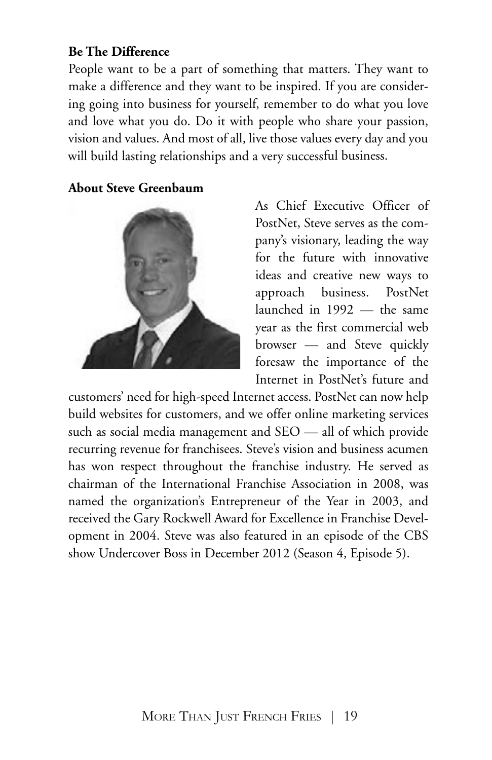#### **Be The Difference**

People want to be a part of something that matters. They want to make a difference and they want to be inspired. If you are considering going into business for yourself, remember to do what you love and love what you do. Do it with people who share your passion, vision and values. And most of all, live those values every day and you will build lasting relationships and a very successful business.

#### **About Steve Greenbaum**



As Chief Executive Officer of PostNet, Steve serves as the company's visionary, leading the way for the future with innovative ideas and creative new ways to approach business. PostNet launched in 1992 — the same year as the first commercial web browser — and Steve quickly foresaw the importance of the Internet in PostNet's future and

customers' need for high-speed Internet access. PostNet can now help build websites for customers, and we offer online marketing services such as social media management and SEO — all of which provide recurring revenue for franchisees. Steve's vision and business acumen has won respect throughout the franchise industry. He served as chairman of the International Franchise Association in 2008, was named the organization's Entrepreneur of the Year in 2003, and received the Gary Rockwell Award for Excellence in Franchise Development in 2004. Steve was also featured in an episode of the CBS show Undercover Boss in December 2012 (Season 4, Episode 5).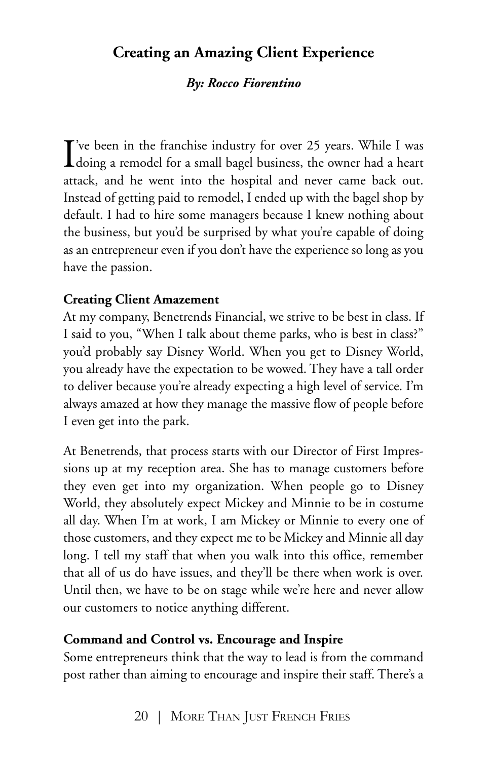# **Creating an Amazing Client Experience**

#### *By: Rocco Fiorentino*

I've been in the franchise industry for over 25 years. While I was<br>doing a remodel for a small bagel business, the owner had a heart  $\mathbf{T}'$ 've been in the franchise industry for over 25 years. While I was attack, and he went into the hospital and never came back out. Instead of getting paid to remodel, I ended up with the bagel shop by default. I had to hire some managers because I knew nothing about the business, but you'd be surprised by what you're capable of doing as an entrepreneur even if you don't have the experience so long as you have the passion.

#### **Creating Client Amazement**

At my company, Benetrends Financial, we strive to be best in class. If I said to you, "When I talk about theme parks, who is best in class?" you'd probably say Disney World. When you get to Disney World, you already have the expectation to be wowed. They have a tall order to deliver because you're already expecting a high level of service. I'm always amazed at how they manage the massive flow of people before I even get into the park.

At Benetrends, that process starts with our Director of First Impressions up at my reception area. She has to manage customers before they even get into my organization. When people go to Disney World, they absolutely expect Mickey and Minnie to be in costume all day. When I'm at work, I am Mickey or Minnie to every one of those customers, and they expect me to be Mickey and Minnie all day long. I tell my staff that when you walk into this office, remember that all of us do have issues, and they'll be there when work is over. Until then, we have to be on stage while we're here and never allow our customers to notice anything different.

#### **Command and Control vs. Encourage and Inspire**

Some entrepreneurs think that the way to lead is from the command post rather than aiming to encourage and inspire their staff. There's a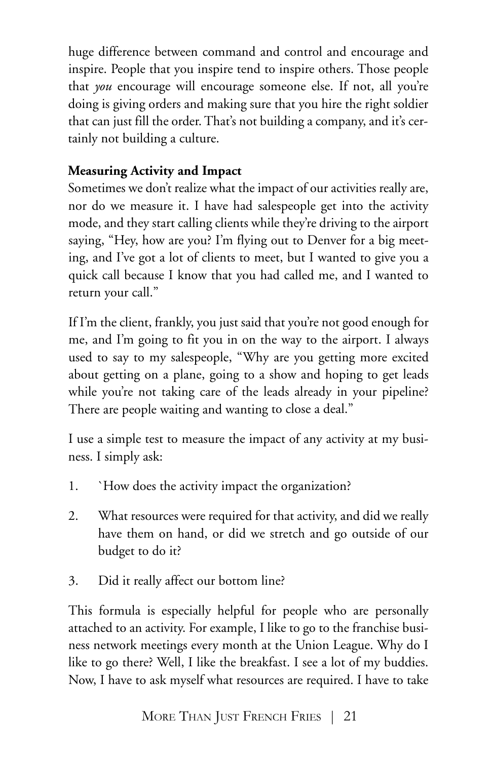huge difference between command and control and encourage and inspire. People that you inspire tend to inspire others. Those people that *you* encourage will encourage someone else. If not, all you're doing is giving orders and making sure that you hire the right soldier that can just fill the order. That's not building a company, and it's certainly not building a culture.

## **Measuring Activity and Impact**

Sometimes we don't realize what the impact of our activities really are, nor do we measure it. I have had salespeople get into the activity mode, and they start calling clients while they're driving to the airport saying, "Hey, how are you? I'm flying out to Denver for a big meeting, and I've got a lot of clients to meet, but I wanted to give you a quick call because I know that you had called me, and I wanted to return your call."

If I'm the client, frankly, you just said that you're not good enough for me, and I'm going to fit you in on the way to the airport. I always used to say to my salespeople, "Why are you getting more excited about getting on a plane, going to a show and hoping to get leads while you're not taking care of the leads already in your pipeline? There are people waiting and wanting to close a deal."

I use a simple test to measure the impact of any activity at my business. I simply ask:

- 1. `How does the activity impact the organization?
- 2. What resources were required for that activity, and did we really have them on hand, or did we stretch and go outside of our budget to do it?
- 3. Did it really affect our bottom line?

This formula is especially helpful for people who are personally attached to an activity. For example, I like to go to the franchise business network meetings every month at the Union League. Why do I like to go there? Well, I like the breakfast. I see a lot of my buddies. Now, I have to ask myself what resources are required. I have to take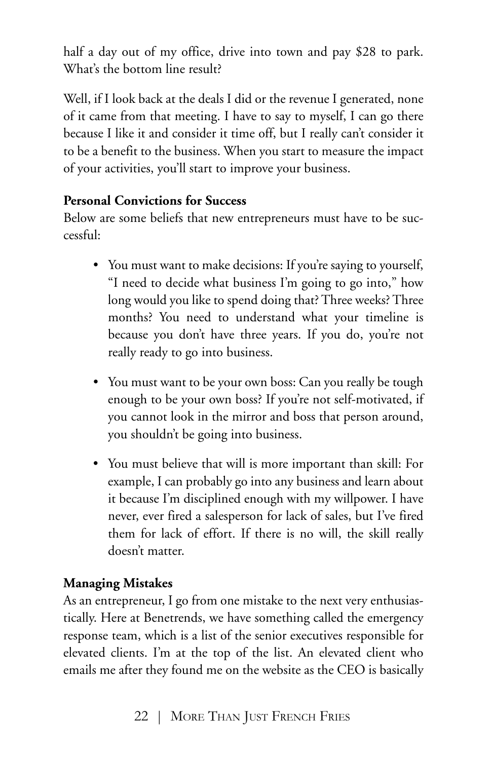half a day out of my office, drive into town and pay \$28 to park. What's the bottom line result?

Well, if I look back at the deals I did or the revenue I generated, none of it came from that meeting. I have to say to myself, I can go there because I like it and consider it time off, but I really can't consider it to be a benefit to the business. When you start to measure the impact of your activities, you'll start to improve your business.

## **Personal Convictions for Success**

Below are some beliefs that new entrepreneurs must have to be successful:

- You must want to make decisions: If you're saying to yourself, "I need to decide what business I'm going to go into," how long would you like to spend doing that? Three weeks? Three months? You need to understand what your timeline is because you don't have three years. If you do, you're not really ready to go into business.
- You must want to be your own boss: Can you really be tough enough to be your own boss? If you're not self-motivated, if you cannot look in the mirror and boss that person around, you shouldn't be going into business.
- You must believe that will is more important than skill: For example, I can probably go into any business and learn about it because I'm disciplined enough with my willpower. I have never, ever fired a salesperson for lack of sales, but I've fired them for lack of effort. If there is no will, the skill really doesn't matter.

### **Managing Mistakes**

As an entrepreneur, I go from one mistake to the next very enthusiastically. Here at Benetrends, we have something called the emergency response team, which is a list of the senior executives responsible for elevated clients. I'm at the top of the list. An elevated client who emails me after they found me on the website as the CEO is basically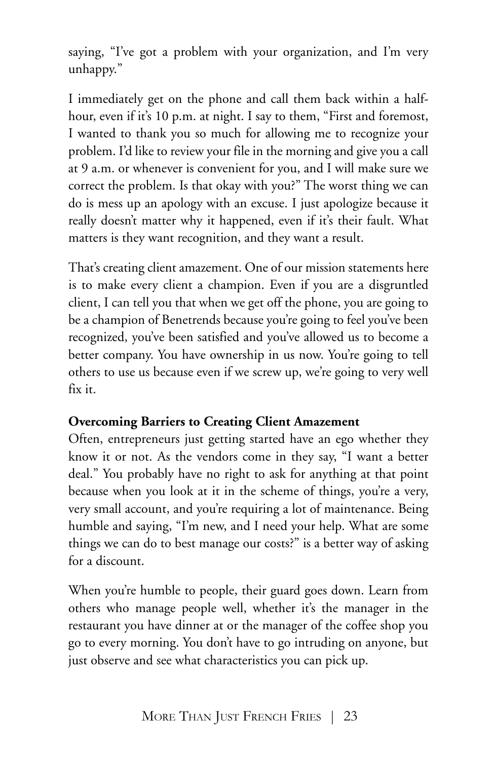saying, "I've got a problem with your organization, and I'm very unhappy."

I immediately get on the phone and call them back within a halfhour, even if it's 10 p.m. at night. I say to them, "First and foremost, I wanted to thank you so much for allowing me to recognize your problem. I'd like to review your file in the morning and give you a call at 9 a.m. or whenever is convenient for you, and I will make sure we correct the problem. Is that okay with you?" The worst thing we can do is mess up an apology with an excuse. I just apologize because it really doesn't matter why it happened, even if it's their fault. What matters is they want recognition, and they want a result.

That's creating client amazement. One of our mission statements here is to make every client a champion. Even if you are a disgruntled client, I can tell you that when we get off the phone, you are going to be a champion of Benetrends because you're going to feel you've been recognized, you've been satisfied and you've allowed us to become a better company. You have ownership in us now. You're going to tell others to use us because even if we screw up, we're going to very well fix it.

### **Overcoming Barriers to Creating Client Amazement**

Often, entrepreneurs just getting started have an ego whether they know it or not. As the vendors come in they say, "I want a better deal." You probably have no right to ask for anything at that point because when you look at it in the scheme of things, you're a very, very small account, and you're requiring a lot of maintenance. Being humble and saying, "I'm new, and I need your help. What are some things we can do to best manage our costs?" is a better way of asking for a discount.

When you're humble to people, their guard goes down. Learn from others who manage people well, whether it's the manager in the restaurant you have dinner at or the manager of the coffee shop you go to every morning. You don't have to go intruding on anyone, but just observe and see what characteristics you can pick up.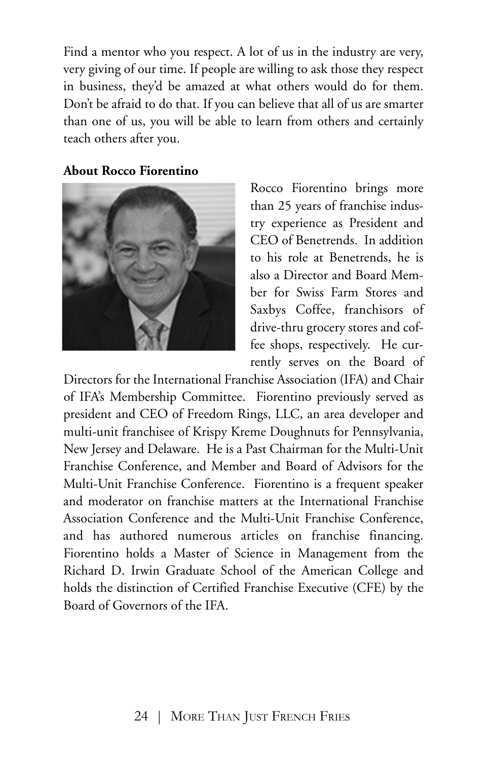Find a mentor who you respect. A lot of us in the industry are very, very giving of our time. If people are willing to ask those they respect in business, they'd be amazed at what others would do for them. Don't be afraid to do that. If you can believe that all of us are smarter than one of us, you will be able to learn from others and certainly teach others after you.

#### **About Rocco Fiorentino**



Rocco Fiorentino brings more than 25 years of franchise industry experience as President and CEO of Benetrends. In addition to his role at Benetrends, he is also a Director and Board Member for Swiss Farm Stores and Saxbys Coffee, franchisors of drive-thru grocery stores and coffee shops, respectively. He currently serves on the Board of

Directors for the International Franchise Association (IFA) and Chair of IFA's Membership Committee. Fiorentino previously served as president and CEO of Freedom Rings, LLC, an area developer and multi-unit franchisee of Krispy Kreme Doughnuts for Pennsylvania, New Jersey and Delaware. He is a Past Chairman for the Multi-Unit Franchise Conference, and Member and Board of Advisors for the Multi-Unit Franchise Conference. Fiorentino is a frequent speaker and moderator on franchise matters at the International Franchise Association Conference and the Multi-Unit Franchise Conference, and has authored numerous articles on franchise financing. Fiorentino holds a Master of Science in Management from the Richard D. Irwin Graduate School of the American College and holds the distinction of Certified Franchise Executive (CFE) by the Board of Governors of the IFA.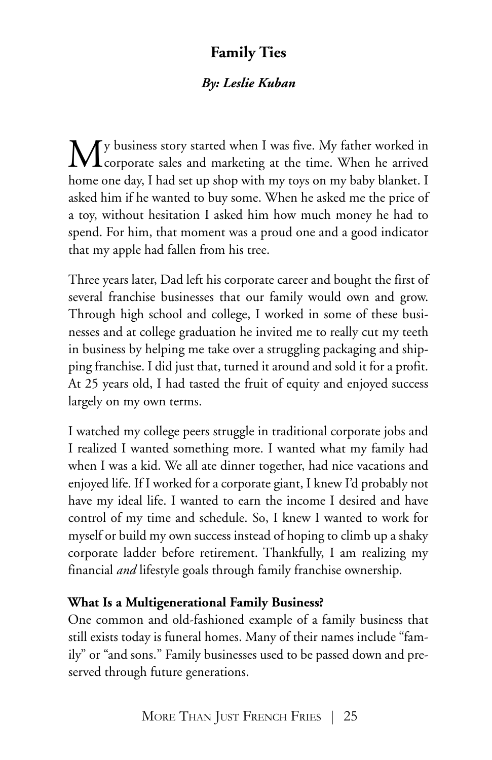# **Family Ties**

## *By: Leslie Kuban*

My business story started when I was five. My father worked in<br>Corporate sales and marketing at the time. When he arrived home one day, I had set up shop with my toys on my baby blanket. I asked him if he wanted to buy some. When he asked me the price of a toy, without hesitation I asked him how much money he had to spend. For him, that moment was a proud one and a good indicator that my apple had fallen from his tree.

Three years later, Dad left his corporate career and bought the first of several franchise businesses that our family would own and grow. Through high school and college, I worked in some of these businesses and at college graduation he invited me to really cut my teeth in business by helping me take over a struggling packaging and shipping franchise. I did just that, turned it around and sold it for a profit. At 25 years old, I had tasted the fruit of equity and enjoyed success largely on my own terms.

I watched my college peers struggle in traditional corporate jobs and I realized I wanted something more. I wanted what my family had when I was a kid. We all ate dinner together, had nice vacations and enjoyed life. If I worked for a corporate giant, I knew I'd probably not have my ideal life. I wanted to earn the income I desired and have control of my time and schedule. So, I knew I wanted to work for myself or build my own success instead of hoping to climb up a shaky corporate ladder before retirement. Thankfully, I am realizing my financial *and* lifestyle goals through family franchise ownership.

### **What Is a Multigenerational Family Business?**

One common and old-fashioned example of a family business that still exists today is funeral homes. Many of their names include "family" or "and sons." Family businesses used to be passed down and preserved through future generations.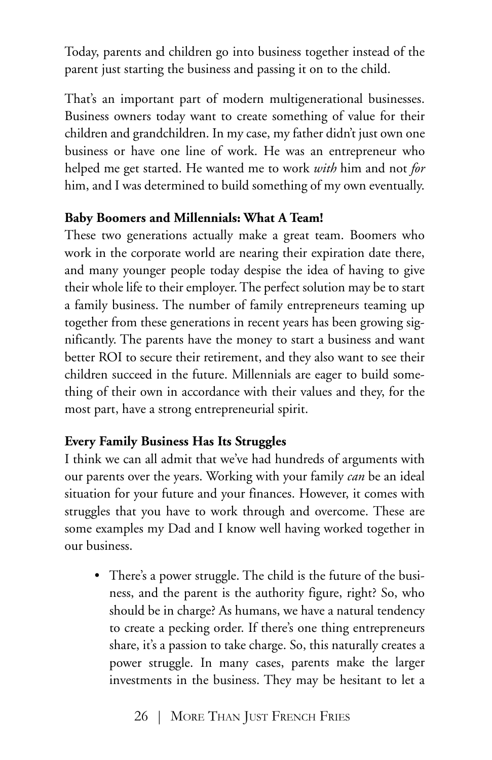Today, parents and children go into business together instead of the parent just starting the business and passing it on to the child.

That's an important part of modern multigenerational businesses. Business owners today want to create something of value for their children and grandchildren. In my case, my father didn't just own one business or have one line of work. He was an entrepreneur who helped me get started. He wanted me to work *with* him and not *for* him, and I was determined to build something of my own eventually.

#### **Baby Boomers and Millennials: What A Team!**

These two generations actually make a great team. Boomers who work in the corporate world are nearing their expiration date there, and many younger people today despise the idea of having to give their whole life to their employer. The perfect solution may be to start a family business. The number of family entrepreneurs teaming up together from these generations in recent years has been growing significantly. The parents have the money to start a business and want better ROI to secure their retirement, and they also want to see their children succeed in the future. Millennials are eager to build something of their own in accordance with their values and they, for the most part, have a strong entrepreneurial spirit.

### **Every Family Business Has Its Struggles**

I think we can all admit that we've had hundreds of arguments with our parents over the years. Working with your family *can* be an ideal situation for your future and your finances. However, it comes with struggles that you have to work through and overcome. These are some examples my Dad and I know well having worked together in our business.

• There's a power struggle. The child is the future of the business, and the parent is the authority figure, right? So, who should be in charge? As humans, we have a natural tendency to create a pecking order. If there's one thing entrepreneurs share, it's a passion to take charge. So, this naturally creates a power struggle. In many cases, parents make the larger investments in the business. They may be hesitant to let a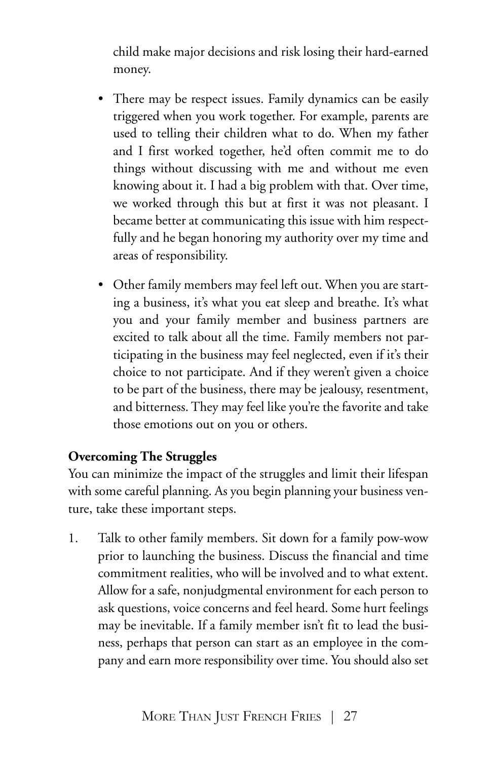child make major decisions and risk losing their hard-earned money.

- There may be respect issues. Family dynamics can be easily triggered when you work together. For example, parents are used to telling their children what to do. When my father and I first worked together, he'd often commit me to do things without discussing with me and without me even knowing about it. I had a big problem with that. Over time, we worked through this but at first it was not pleasant. I became better at communicating this issue with him respectfully and he began honoring my authority over my time and areas of responsibility.
- Other family members may feel left out. When you are starting a business, it's what you eat sleep and breathe. It's what you and your family member and business partners are excited to talk about all the time. Family members not participating in the business may feel neglected, even if it's their choice to not participate. And if they weren't given a choice to be part of the business, there may be jealousy, resentment, and bitterness. They may feel like you're the favorite and take those emotions out on you or others.

#### **Overcoming The Struggles**

You can minimize the impact of the struggles and limit their lifespan with some careful planning. As you begin planning your business venture, take these important steps.

1. Talk to other family members. Sit down for a family pow-wow prior to launching the business. Discuss the financial and time commitment realities, who will be involved and to what extent. Allow for a safe, nonjudgmental environment for each person to ask questions, voice concerns and feel heard. Some hurt feelings may be inevitable. If a family member isn't fit to lead the business, perhaps that person can start as an employee in the company and earn more responsibility over time. You should also set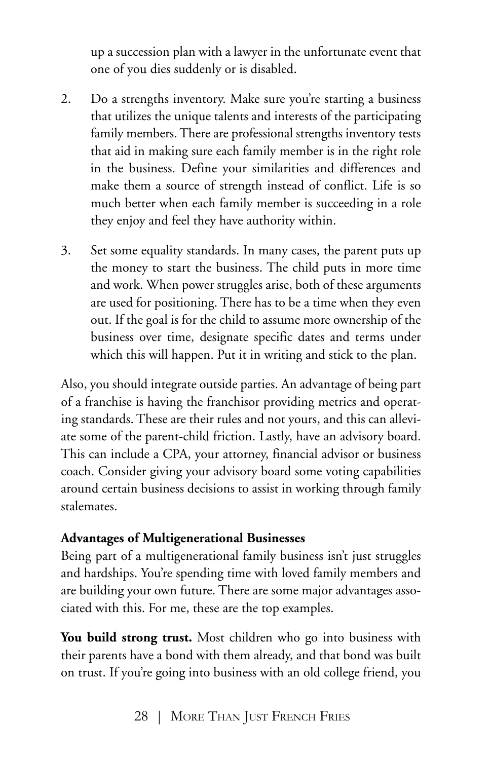up a succession plan with a lawyer in the unfortunate event that one of you dies suddenly or is disabled.

- 2. Do a strengths inventory. Make sure you're starting a business that utilizes the unique talents and interests of the participating family members. There are professional strengths inventory tests that aid in making sure each family member is in the right role in the business. Define your similarities and differences and make them a source of strength instead of conflict. Life is so much better when each family member is succeeding in a role they enjoy and feel they have authority within.
- 3. Set some equality standards. In many cases, the parent puts up the money to start the business. The child puts in more time and work. When power struggles arise, both of these arguments are used for positioning. There has to be a time when they even out. If the goal is for the child to assume more ownership of the business over time, designate specific dates and terms under which this will happen. Put it in writing and stick to the plan.

Also, you should integrate outside parties. An advantage of being part of a franchise is having the franchisor providing metrics and operating standards. These are their rules and not yours, and this can alleviate some of the parent-child friction. Lastly, have an advisory board. This can include a CPA, your attorney, financial advisor or business coach. Consider giving your advisory board some voting capabilities around certain business decisions to assist in working through family stalemates.

### **Advantages of Multigenerational Businesses**

Being part of a multigenerational family business isn't just struggles and hardships. You're spending time with loved family members and are building your own future. There are some major advantages associated with this. For me, these are the top examples.

**You build strong trust.** Most children who go into business with their parents have a bond with them already, and that bond was built on trust. If you're going into business with an old college friend, you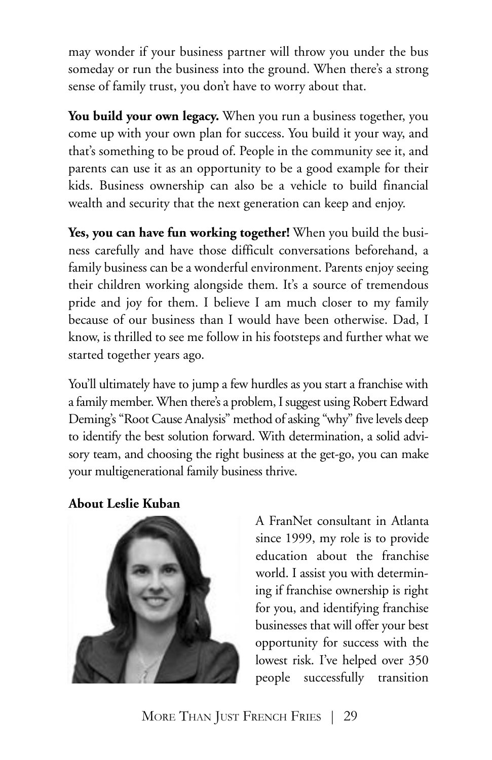may wonder if your business partner will throw you under the bus someday or run the business into the ground. When there's a strong sense of family trust, you don't have to worry about that.

**You build your own legacy.** When you run a business together, you come up with your own plan for success. You build it your way, and that's something to be proud of. People in the community see it, and parents can use it as an opportunity to be a good example for their kids. Business ownership can also be a vehicle to build financial wealth and security that the next generation can keep and enjoy.

**Yes, you can have fun working together!** When you build the business carefully and have those difficult conversations beforehand, a family business can be a wonderful environment. Parents enjoy seeing their children working alongside them. It's a source of tremendous pride and joy for them. I believe I am much closer to my family because of our business than I would have been otherwise. Dad, I know, is thrilled to see me follow in his footsteps and further what we started together years ago.

You'll ultimately have to jump a few hurdles as you start a franchise with a family member. When there's a problem, I suggest using Robert Edward Deming's "Root Cause Analysis" method of asking "why" five levels deep to identify the best solution forward. With determination, a solid advisory team, and choosing the right business at the get-go, you can make your multigenerational family business thrive.

**About Leslie Kuban**



A FranNet consultant in Atlanta since 1999, my role is to provide education about the franchise world. I assist you with determining if franchise ownership is right for you, and identifying franchise businesses that will offer your best opportunity for success with the lowest risk. I've helped over 350 people successfully transition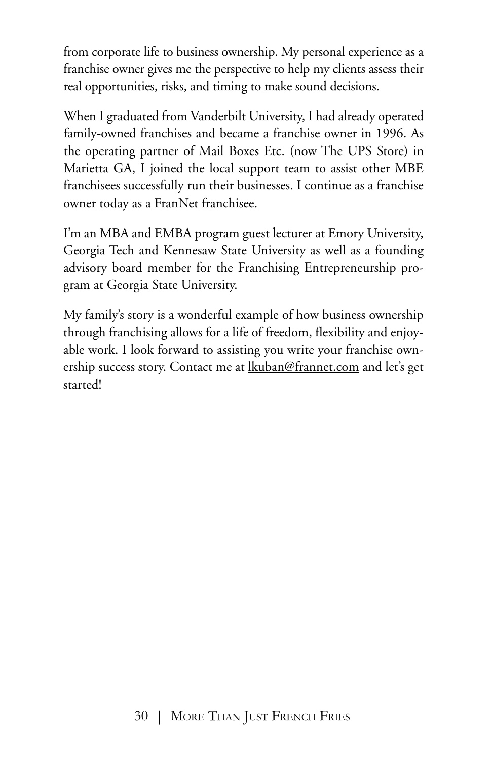from corporate life to business ownership. My personal experience as a franchise owner gives me the perspective to help my clients assess their real opportunities, risks, and timing to make sound decisions.

When I graduated from Vanderbilt University, I had already operated family-owned franchises and became a franchise owner in 1996. As the operating partner of Mail Boxes Etc. (now The UPS Store) in Marietta GA, I joined the local support team to assist other MBE franchisees successfully run their businesses. I continue as a franchise owner today as a FranNet franchisee.

I'm an MBA and EMBA program guest lecturer at Emory University, Georgia Tech and Kennesaw State University as well as a founding advisory board member for the Franchising Entrepreneurship program at Georgia State University.

My family's story is a wonderful example of how business ownership through franchising allows for a life of freedom, flexibility and enjoyable work. I look forward to assisting you write your franchise ownership success story. Contact me at lkuban@frannet.com and let's get started!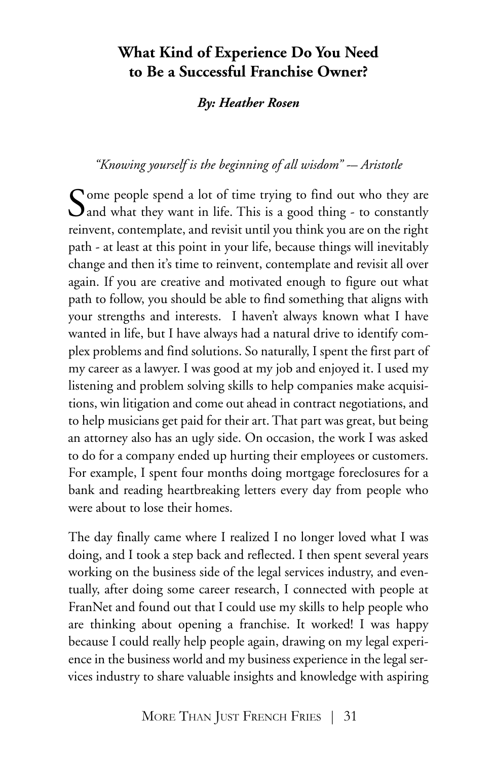## **What Kind of Experience Do You Need to Be a Successful Franchise Owner?**

#### *By: Heather Rosen*

#### *"Knowing yourself is the beginning of all wisdom" -– Aristotle*

Come people spend a lot of time trying to find out who they are  $\mathbf{Q}$  and what they want in life. This is a good thing - to constantly reinvent, contemplate, and revisit until you think you are on the right path - at least at this point in your life, because things will inevitably change and then it's time to reinvent, contemplate and revisit all over again. If you are creative and motivated enough to figure out what path to follow, you should be able to find something that aligns with your strengths and interests. I haven't always known what I have wanted in life, but I have always had a natural drive to identify complex problems and find solutions. So naturally, I spent the first part of my career as a lawyer. I was good at my job and enjoyed it. I used my listening and problem solving skills to help companies make acquisitions, win litigation and come out ahead in contract negotiations, and to help musicians get paid for their art. That part was great, but being an attorney also has an ugly side. On occasion, the work I was asked to do for a company ended up hurting their employees or customers. For example, I spent four months doing mortgage foreclosures for a bank and reading heartbreaking letters every day from people who were about to lose their homes.

The day finally came where I realized I no longer loved what I was doing, and I took a step back and reflected. I then spent several years working on the business side of the legal services industry, and eventually, after doing some career research, I connected with people at FranNet and found out that I could use my skills to help people who are thinking about opening a franchise. It worked! I was happy because I could really help people again, drawing on my legal experience in the business world and my business experience in the legal services industry to share valuable insights and knowledge with aspiring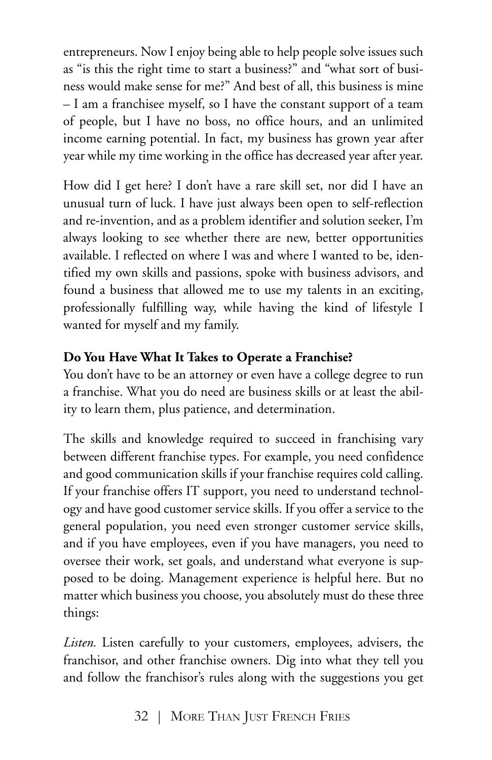entrepreneurs. Now I enjoy being able to help people solve issues such as "is this the right time to start a business?" and "what sort of business would make sense for me?" And best of all, this business is mine – I am a franchisee myself, so I have the constant support of a team of people, but I have no boss, no office hours, and an unlimited income earning potential. In fact, my business has grown year after year while my time working in the office has decreased year after year.

How did I get here? I don't have a rare skill set, nor did I have an unusual turn of luck. I have just always been open to self-reflection and re-invention, and as a problem identifier and solution seeker, I'm always looking to see whether there are new, better opportunities available. I reflected on where I was and where I wanted to be, identified my own skills and passions, spoke with business advisors, and found a business that allowed me to use my talents in an exciting, professionally fulfilling way, while having the kind of lifestyle I wanted for myself and my family.

## **Do You Have What It Takes to Operate a Franchise?**

You don't have to be an attorney or even have a college degree to run a franchise. What you do need are business skills or at least the ability to learn them, plus patience, and determination.

The skills and knowledge required to succeed in franchising vary between different franchise types. For example, you need confidence and good communication skills if your franchise requires cold calling. If your franchise offers IT support, you need to understand technology and have good customer service skills. If you offer a service to the general population, you need even stronger customer service skills, and if you have employees, even if you have managers, you need to oversee their work, set goals, and understand what everyone is supposed to be doing. Management experience is helpful here. But no matter which business you choose, you absolutely must do these three things:

*Listen.* Listen carefully to your customers, employees, advisers, the franchisor, and other franchise owners. Dig into what they tell you and follow the franchisor's rules along with the suggestions you get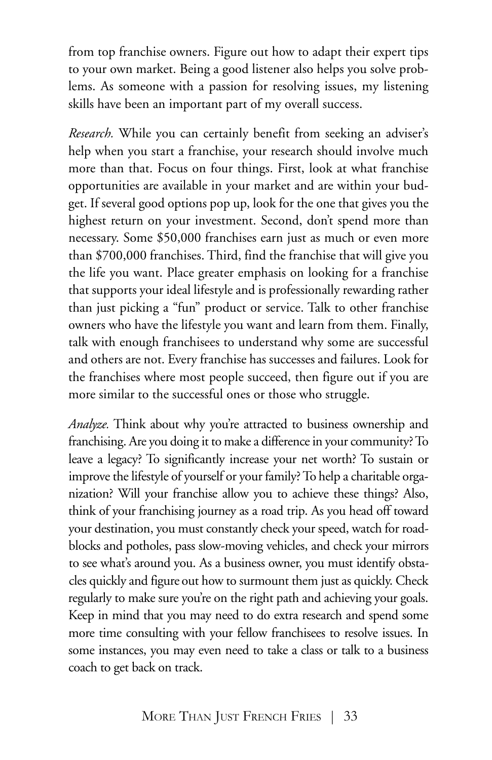from top franchise owners. Figure out how to adapt their expert tips to your own market. Being a good listener also helps you solve problems. As someone with a passion for resolving issues, my listening skills have been an important part of my overall success.

*Research.* While you can certainly benefit from seeking an adviser's help when you start a franchise, your research should involve much more than that. Focus on four things. First, look at what franchise opportunities are available in your market and are within your budget. If several good options pop up, look for the one that gives you the highest return on your investment. Second, don't spend more than necessary. Some \$50,000 franchises earn just as much or even more than \$700,000 franchises. Third, find the franchise that will give you the life you want. Place greater emphasis on looking for a franchise that supports your ideal lifestyle and is professionally rewarding rather than just picking a "fun" product or service. Talk to other franchise owners who have the lifestyle you want and learn from them. Finally, talk with enough franchisees to understand why some are successful and others are not. Every franchise has successes and failures. Look for the franchises where most people succeed, then figure out if you are more similar to the successful ones or those who struggle.

*Analyze.* Think about why you're attracted to business ownership and franchising. Are you doing it to make a difference in your community? To leave a legacy? To significantly increase your net worth? To sustain or improve the lifestyle of yourself or your family? To help a charitable organization? Will your franchise allow you to achieve these things? Also, think of your franchising journey as a road trip. As you head off toward your destination, you must constantly check your speed, watch for roadblocks and potholes, pass slow-moving vehicles, and check your mirrors to see what's around you. As a business owner, you must identify obstacles quickly and figure out how to surmount them just as quickly. Check regularly to make sure you're on the right path and achieving your goals. Keep in mind that you may need to do extra research and spend some more time consulting with your fellow franchisees to resolve issues. In some instances, you may even need to take a class or talk to a business coach to get back on track.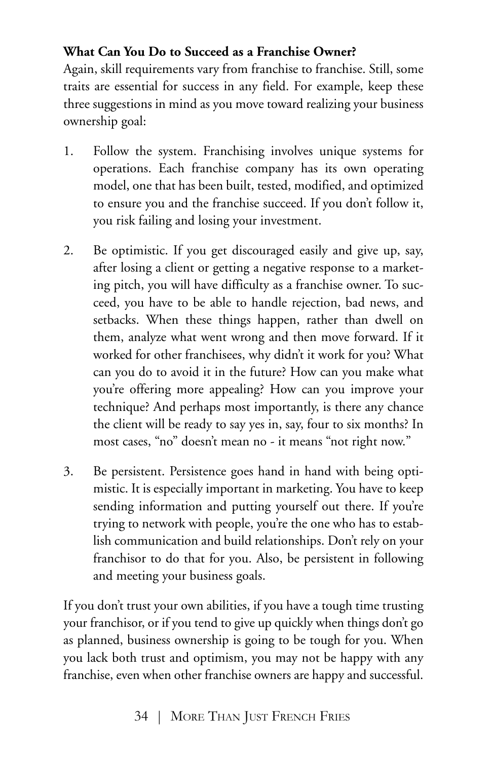## **What Can You Do to Succeed as a Franchise Owner?**

Again, skill requirements vary from franchise to franchise. Still, some traits are essential for success in any field. For example, keep these three suggestions in mind as you move toward realizing your business ownership goal:

- 1. Follow the system. Franchising involves unique systems for operations. Each franchise company has its own operating model, one that has been built, tested, modified, and optimized to ensure you and the franchise succeed. If you don't follow it, you risk failing and losing your investment.
- 2. Be optimistic. If you get discouraged easily and give up, say, after losing a client or getting a negative response to a marketing pitch, you will have difficulty as a franchise owner. To succeed, you have to be able to handle rejection, bad news, and setbacks. When these things happen, rather than dwell on them, analyze what went wrong and then move forward. If it worked for other franchisees, why didn't it work for you? What can you do to avoid it in the future? How can you make what you're offering more appealing? How can you improve your technique? And perhaps most importantly, is there any chance the client will be ready to say yes in, say, four to six months? In most cases, "no" doesn't mean no - it means "not right now."
- 3. Be persistent. Persistence goes hand in hand with being optimistic. It is especially important in marketing. You have to keep sending information and putting yourself out there. If you're trying to network with people, you're the one who has to establish communication and build relationships. Don't rely on your franchisor to do that for you. Also, be persistent in following and meeting your business goals.

If you don't trust your own abilities, if you have a tough time trusting your franchisor, or if you tend to give up quickly when things don't go as planned, business ownership is going to be tough for you. When you lack both trust and optimism, you may not be happy with any franchise, even when other franchise owners are happy and successful.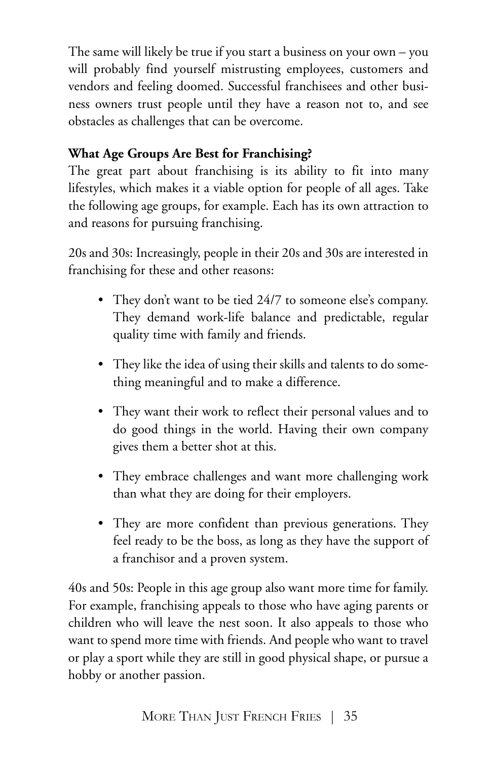The same will likely be true if you start a business on your own – you will probably find yourself mistrusting employees, customers and vendors and feeling doomed. Successful franchisees and other business owners trust people until they have a reason not to, and see obstacles as challenges that can be overcome.

## **What Age Groups Are Best for Franchising?**

The great part about franchising is its ability to fit into many lifestyles, which makes it a viable option for people of all ages. Take the following age groups, for example. Each has its own attraction to and reasons for pursuing franchising.

20s and 30s: Increasingly, people in their 20s and 30s are interested in franchising for these and other reasons:

- They don't want to be tied 24/7 to someone else's company. They demand work-life balance and predictable, regular quality time with family and friends.
- They like the idea of using their skills and talents to do something meaningful and to make a difference.
- They want their work to reflect their personal values and to do good things in the world. Having their own company gives them a better shot at this.
- They embrace challenges and want more challenging work than what they are doing for their employers.
- They are more confident than previous generations. They feel ready to be the boss, as long as they have the support of a franchisor and a proven system.

40s and 50s: People in this age group also want more time for family. For example, franchising appeals to those who have aging parents or children who will leave the nest soon. It also appeals to those who want to spend more time with friends. And people who want to travel or play a sport while they are still in good physical shape, or pursue a hobby or another passion.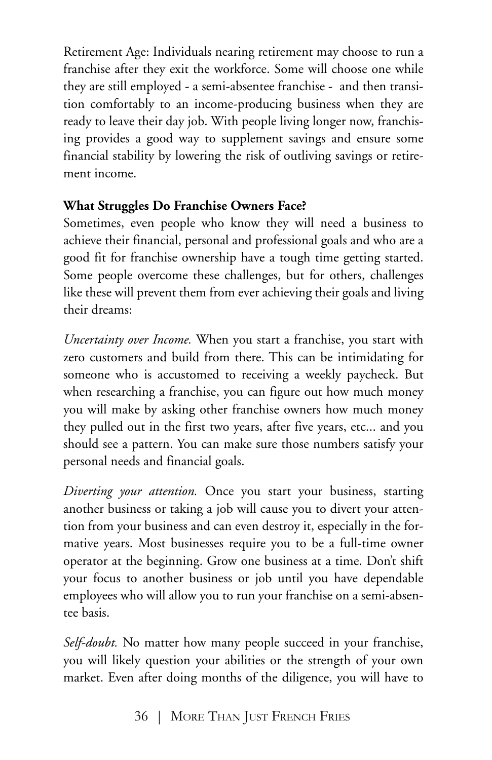Retirement Age: Individuals nearing retirement may choose to run a franchise after they exit the workforce. Some will choose one while they are still employed - a semi-absentee franchise - and then transition comfortably to an income-producing business when they are ready to leave their day job. With people living longer now, franchising provides a good way to supplement savings and ensure some financial stability by lowering the risk of outliving savings or retirement income.

### **What Struggles Do Franchise Owners Face?**

Sometimes, even people who know they will need a business to achieve their financial, personal and professional goals and who are a good fit for franchise ownership have a tough time getting started. Some people overcome these challenges, but for others, challenges like these will prevent them from ever achieving their goals and living their dreams:

*Uncertainty over Income.* When you start a franchise, you start with zero customers and build from there. This can be intimidating for someone who is accustomed to receiving a weekly paycheck. But when researching a franchise, you can figure out how much money you will make by asking other franchise owners how much money they pulled out in the first two years, after five years, etc... and you should see a pattern. You can make sure those numbers satisfy your personal needs and financial goals.

*Diverting your attention.* Once you start your business, starting another business or taking a job will cause you to divert your attention from your business and can even destroy it, especially in the formative years. Most businesses require you to be a full-time owner operator at the beginning. Grow one business at a time. Don't shift your focus to another business or job until you have dependable employees who will allow you to run your franchise on a semi-absentee basis.

*Self-doubt.* No matter how many people succeed in your franchise, you will likely question your abilities or the strength of your own market. Even after doing months of the diligence, you will have to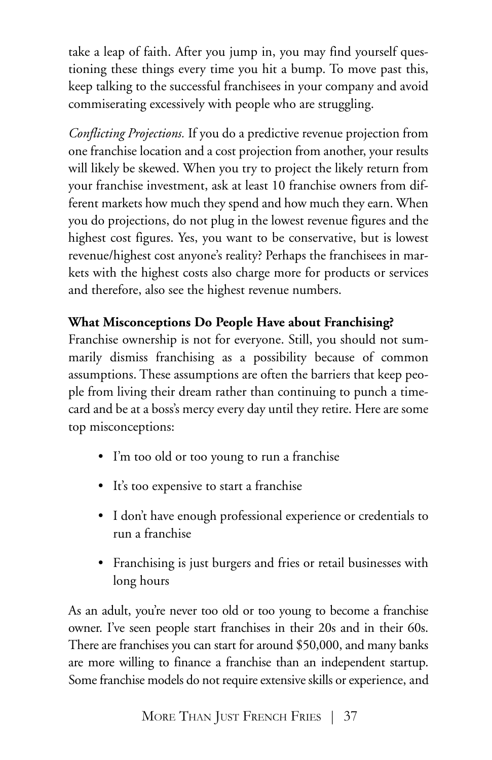take a leap of faith. After you jump in, you may find yourself questioning these things every time you hit a bump. To move past this, keep talking to the successful franchisees in your company and avoid commiserating excessively with people who are struggling.

*Conflicting Projections.* If you do a predictive revenue projection from one franchise location and a cost projection from another, your results will likely be skewed. When you try to project the likely return from your franchise investment, ask at least 10 franchise owners from different markets how much they spend and how much they earn. When you do projections, do not plug in the lowest revenue figures and the highest cost figures. Yes, you want to be conservative, but is lowest revenue/highest cost anyone's reality? Perhaps the franchisees in markets with the highest costs also charge more for products or services and therefore, also see the highest revenue numbers.

## **What Misconceptions Do People Have about Franchising?**

Franchise ownership is not for everyone. Still, you should not summarily dismiss franchising as a possibility because of common assumptions. These assumptions are often the barriers that keep people from living their dream rather than continuing to punch a timecard and be at a boss's mercy every day until they retire. Here are some top misconceptions:

- I'm too old or too young to run a franchise
- It's too expensive to start a franchise
- I don't have enough professional experience or credentials to run a franchise
- Franchising is just burgers and fries or retail businesses with long hours

As an adult, you're never too old or too young to become a franchise owner. I've seen people start franchises in their 20s and in their 60s. There are franchises you can start for around \$50,000, and many banks are more willing to finance a franchise than an independent startup. Some franchise models do not require extensive skills or experience, and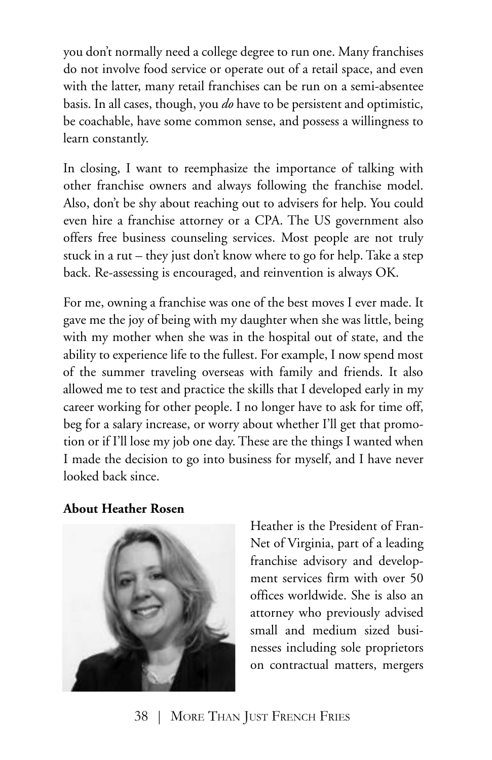you don't normally need a college degree to run one. Many franchises do not involve food service or operate out of a retail space, and even with the latter, many retail franchises can be run on a semi-absentee basis. In all cases, though, you *do* have to be persistent and optimistic, be coachable, have some common sense, and possess a willingness to learn constantly.

In closing, I want to reemphasize the importance of talking with other franchise owners and always following the franchise model. Also, don't be shy about reaching out to advisers for help. You could even hire a franchise attorney or a CPA. The US government also offers free business counseling services. Most people are not truly stuck in a rut – they just don't know where to go for help. Take a step back. Re-assessing is encouraged, and reinvention is always OK.

For me, owning a franchise was one of the best moves I ever made. It gave me the joy of being with my daughter when she was little, being with my mother when she was in the hospital out of state, and the ability to experience life to the fullest. For example, I now spend most of the summer traveling overseas with family and friends. It also allowed me to test and practice the skills that I developed early in my career working for other people. I no longer have to ask for time off, beg for a salary increase, or worry about whether I'll get that promotion or if I'll lose my job one day. These are the things I wanted when I made the decision to go into business for myself, and I have never looked back since.

**About Heather Rosen**



Heather is the President of Fran-Net of Virginia, part of a leading franchise advisory and development services firm with over 50 offices worldwide. She is also an attorney who previously advised small and medium sized businesses including sole proprietors on contractual matters, mergers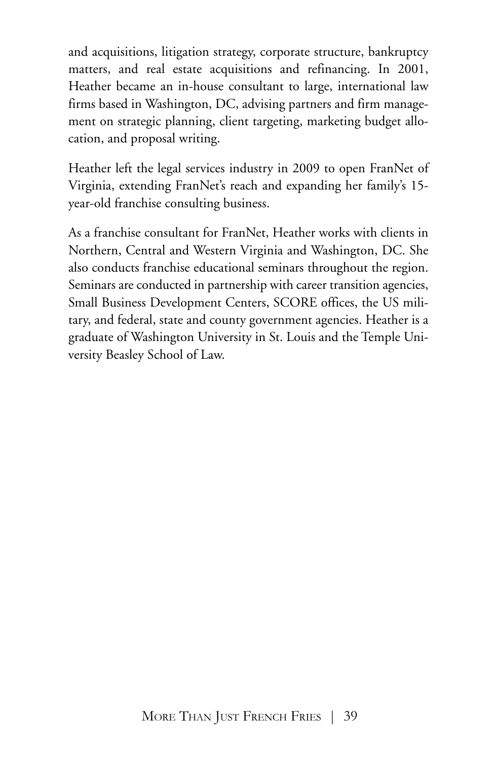and acquisitions, litigation strategy, corporate structure, bankruptcy matters, and real estate acquisitions and refinancing. In 2001, Heather became an in-house consultant to large, international law firms based in Washington, DC, advising partners and firm management on strategic planning, client targeting, marketing budget allocation, and proposal writing.

Heather left the legal services industry in 2009 to open FranNet of Virginia, extending FranNet's reach and expanding her family's 15 year-old franchise consulting business.

As a franchise consultant for FranNet, Heather works with clients in Northern, Central and Western Virginia and Washington, DC. She also conducts franchise educational seminars throughout the region. Seminars are conducted in partnership with career transition agencies, Small Business Development Centers, SCORE offices, the US military, and federal, state and county government agencies. Heather is a graduate of Washington University in St. Louis and the Temple University Beasley School of Law.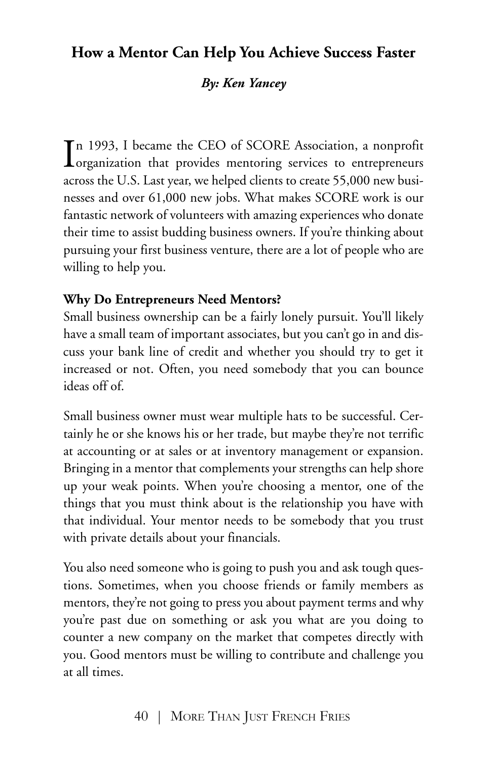# **How a Mentor Can Help You Achieve Success Faster**

#### *By: Ken Yancey*

In 1993, I became the CEO of SCORE Association, a nonprofit organization that provides mentoring services to entrepreneurs n 1993, I became the CEO of SCORE Association, a nonprofit across the U.S. Last year, we helped clients to create 55,000 new businesses and over 61,000 new jobs. What makes SCORE work is our fantastic network of volunteers with amazing experiences who donate their time to assist budding business owners. If you're thinking about pursuing your first business venture, there are a lot of people who are willing to help you.

### **Why Do Entrepreneurs Need Mentors?**

Small business ownership can be a fairly lonely pursuit. You'll likely have a small team of important associates, but you can't go in and discuss your bank line of credit and whether you should try to get it increased or not. Often, you need somebody that you can bounce ideas off of.

Small business owner must wear multiple hats to be successful. Certainly he or she knows his or her trade, but maybe they're not terrific at accounting or at sales or at inventory management or expansion. Bringing in a mentor that complements your strengths can help shore up your weak points. When you're choosing a mentor, one of the things that you must think about is the relationship you have with that individual. Your mentor needs to be somebody that you trust with private details about your financials.

You also need someone who is going to push you and ask tough questions. Sometimes, when you choose friends or family members as mentors, they're not going to press you about payment terms and why you're past due on something or ask you what are you doing to counter a new company on the market that competes directly with you. Good mentors must be willing to contribute and challenge you at all times.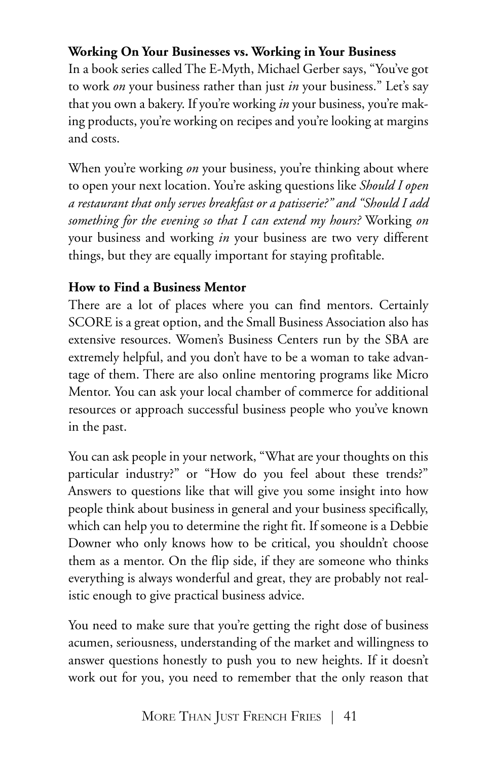## **Working On Your Businesses vs. Working in Your Business**

In a book series called The E-Myth, Michael Gerber says, "You've got to work *on* your business rather than just *in* your business." Let's say that you own a bakery. If you're working *in* your business, you're making products, you're working on recipes and you're looking at margins and costs.

When you're working *on* your business, you're thinking about where to open your next location. You're asking questions like *Should I open a restaurant that only serves breakfast or a patisserie?" and "Should I add something for the evening so that I can extend my hours?* Working *on* your business and working *in* your business are two very different things, but they are equally important for staying profitable.

### **How to Find a Business Mentor**

There are a lot of places where you can find mentors. Certainly SCORE is a great option, and the Small Business Association also has extensive resources. Women's Business Centers run by the SBA are extremely helpful, and you don't have to be a woman to take advantage of them. There are also online mentoring programs like Micro Mentor. You can ask your local chamber of commerce for additional resources or approach successful business people who you've known in the past.

You can ask people in your network, "What are your thoughts on this particular industry?" or "How do you feel about these trends?" Answers to questions like that will give you some insight into how people think about business in general and your business specifically, which can help you to determine the right fit. If someone is a Debbie Downer who only knows how to be critical, you shouldn't choose them as a mentor. On the flip side, if they are someone who thinks everything is always wonderful and great, they are probably not realistic enough to give practical business advice.

You need to make sure that you're getting the right dose of business acumen, seriousness, understanding of the market and willingness to answer questions honestly to push you to new heights. If it doesn't work out for you, you need to remember that the only reason that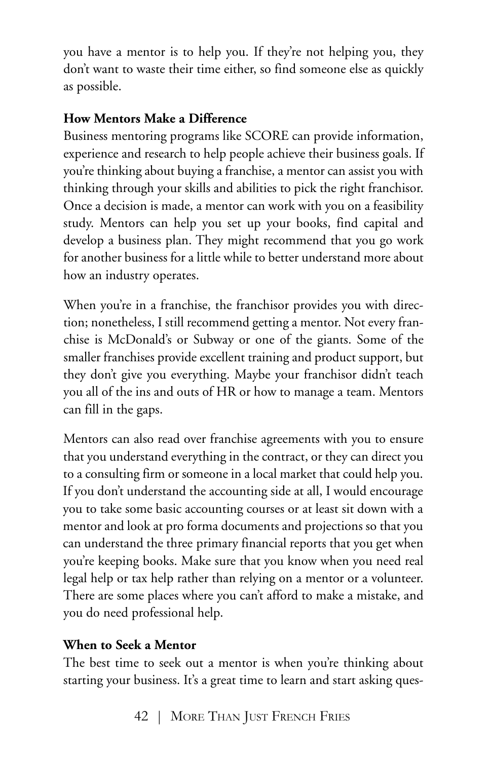you have a mentor is to help you. If they're not helping you, they don't want to waste their time either, so find someone else as quickly as possible.

## **How Mentors Make a Difference**

Business mentoring programs like SCORE can provide information, experience and research to help people achieve their business goals. If you're thinking about buying a franchise, a mentor can assist you with thinking through your skills and abilities to pick the right franchisor. Once a decision is made, a mentor can work with you on a feasibility study. Mentors can help you set up your books, find capital and develop a business plan. They might recommend that you go work for another business for a little while to better understand more about how an industry operates.

When you're in a franchise, the franchisor provides you with direction; nonetheless, I still recommend getting a mentor. Not every franchise is McDonald's or Subway or one of the giants. Some of the smaller franchises provide excellent training and product support, but they don't give you everything. Maybe your franchisor didn't teach you all of the ins and outs of HR or how to manage a team. Mentors can fill in the gaps.

Mentors can also read over franchise agreements with you to ensure that you understand everything in the contract, or they can direct you to a consulting firm or someone in a local market that could help you. If you don't understand the accounting side at all, I would encourage you to take some basic accounting courses or at least sit down with a mentor and look at pro forma documents and projections so that you can understand the three primary financial reports that you get when you're keeping books. Make sure that you know when you need real legal help or tax help rather than relying on a mentor or a volunteer. There are some places where you can't afford to make a mistake, and you do need professional help.

### **When to Seek a Mentor**

The best time to seek out a mentor is when you're thinking about starting your business. It's a great time to learn and start asking ques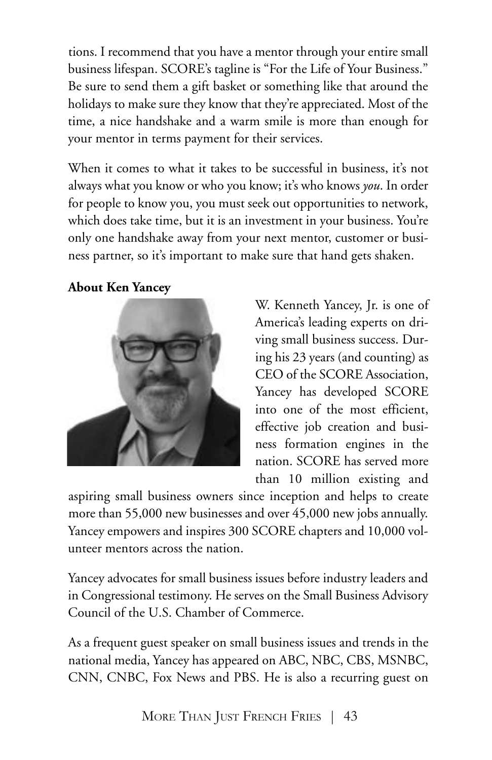tions. I recommend that you have a mentor through your entire small business lifespan. SCORE's tagline is "For the Life of Your Business." Be sure to send them a gift basket or something like that around the holidays to make sure they know that they're appreciated. Most of the time, a nice handshake and a warm smile is more than enough for your mentor in terms payment for their services.

When it comes to what it takes to be successful in business, it's not always what you know or who you know; it's who knows *you*. In order for people to know you, you must seek out opportunities to network, which does take time, but it is an investment in your business. You're only one handshake away from your next mentor, customer or business partner, so it's important to make sure that hand gets shaken.

#### **About Ken Yancey**



W. Kenneth Yancey, Jr. is one of America's leading experts on driving small business success. During his 23 years (and counting) as CEO of the SCORE Association, Yancey has developed SCORE into one of the most efficient, effective job creation and business formation engines in the nation. SCORE has served more than 10 million existing and

aspiring small business owners since inception and helps to create more than 55,000 new businesses and over 45,000 new jobs annually. Yancey empowers and inspires 300 SCORE chapters and 10,000 volunteer mentors across the nation.

Yancey advocates for small business issues before industry leaders and in Congressional testimony. He serves on the Small Business Advisory Council of the U.S. Chamber of Commerce.

As a frequent guest speaker on small business issues and trends in the national media, Yancey has appeared on ABC, NBC, CBS, MSNBC, CNN, CNBC, Fox News and PBS. He is also a recurring guest on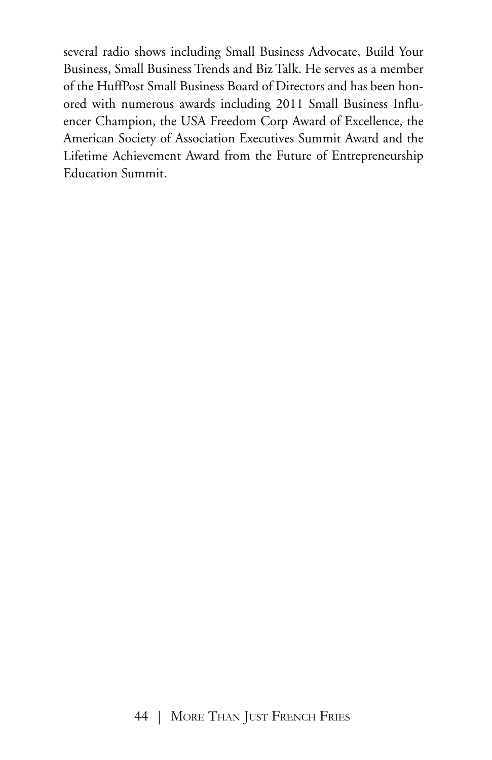several radio shows including Small Business Advocate, Build Your Business, Small Business Trends and Biz Talk. He serves as a member of the HuffPost Small Business Board of Directors and has been honored with numerous awards including 2011 Small Business Influencer Champion, the USA Freedom Corp Award of Excellence, the American Society of Association Executives Summit Award and the Lifetime Achievement Award from the Future of Entrepreneurship Education Summit.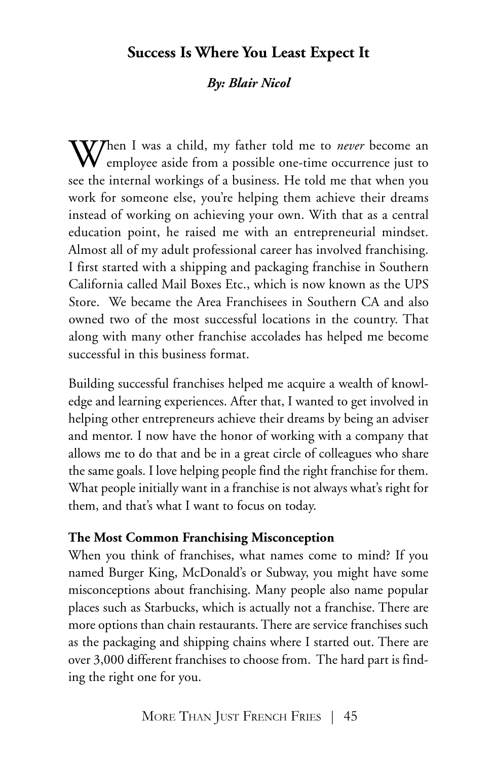## **Success Is Where You Least Expect It**

#### *By: Blair Nicol*

When <sup>I</sup> was <sup>a</sup> child, my father told me to *never* become an employee aside from a possible one-time occurrence just to see the internal workings of a business. He told me that when you work for someone else, you're helping them achieve their dreams instead of working on achieving your own. With that as a central education point, he raised me with an entrepreneurial mindset. Almost all of my adult professional career has involved franchising. I first started with a shipping and packaging franchise in Southern California called Mail Boxes Etc., which is now known as the UPS Store. We became the Area Franchisees in Southern CA and also owned two of the most successful locations in the country. That along with many other franchise accolades has helped me become successful in this business format.

Building successful franchises helped me acquire a wealth of knowledge and learning experiences. After that, I wanted to get involved in helping other entrepreneurs achieve their dreams by being an adviser and mentor. I now have the honor of working with a company that allows me to do that and be in a great circle of colleagues who share the same goals. I love helping people find the right franchise for them. What people initially want in a franchise is not always what's right for them, and that's what I want to focus on today.

#### **The Most Common Franchising Misconception**

When you think of franchises, what names come to mind? If you named Burger King, McDonald's or Subway, you might have some misconceptions about franchising. Many people also name popular places such as Starbucks, which is actually not a franchise. There are more options than chain restaurants. There are service franchises such as the packaging and shipping chains where I started out. There are over 3,000 different franchises to choose from. The hard part is finding the right one for you.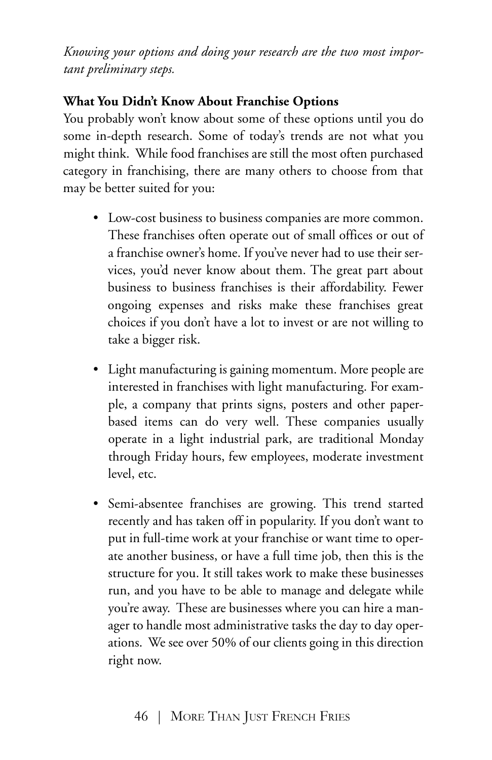*Knowing your options and doing your research are the two most important preliminary steps.*

## **What You Didn't Know About Franchise Options**

You probably won't know about some of these options until you do some in-depth research. Some of today's trends are not what you might think. While food franchises are still the most often purchased category in franchising, there are many others to choose from that may be better suited for you:

- Low-cost business to business companies are more common. These franchises often operate out of small offices or out of a franchise owner's home. If you've never had to use their services, you'd never know about them. The great part about business to business franchises is their affordability. Fewer ongoing expenses and risks make these franchises great choices if you don't have a lot to invest or are not willing to take a bigger risk.
- Light manufacturing is gaining momentum. More people are interested in franchises with light manufacturing. For example, a company that prints signs, posters and other paperbased items can do very well. These companies usually operate in a light industrial park, are traditional Monday through Friday hours, few employees, moderate investment level, etc.
- Semi-absentee franchises are growing. This trend started recently and has taken off in popularity. If you don't want to put in full-time work at your franchise or want time to operate another business, or have a full time job, then this is the structure for you. It still takes work to make these businesses run, and you have to be able to manage and delegate while you're away. These are businesses where you can hire a manager to handle most administrative tasks the day to day operations. We see over 50% of our clients going in this direction right now.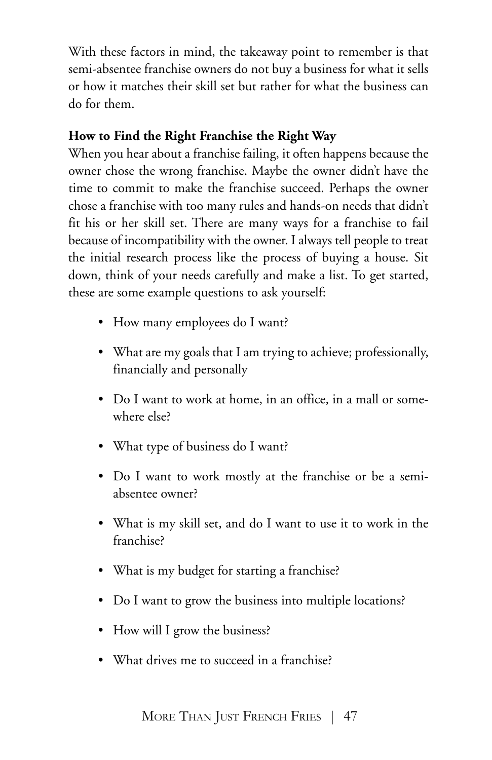With these factors in mind, the takeaway point to remember is that semi-absentee franchise owners do not buy a business for what it sells or how it matches their skill set but rather for what the business can do for them.

### **How to Find the Right Franchise the Right Way**

When you hear about a franchise failing, it often happens because the owner chose the wrong franchise. Maybe the owner didn't have the time to commit to make the franchise succeed. Perhaps the owner chose a franchise with too many rules and hands-on needs that didn't fit his or her skill set. There are many ways for a franchise to fail because of incompatibility with the owner. I always tell people to treat the initial research process like the process of buying a house. Sit down, think of your needs carefully and make a list. To get started, these are some example questions to ask yourself:

- How many employees do I want?
- What are my goals that I am trying to achieve; professionally, financially and personally
- Do I want to work at home, in an office, in a mall or somewhere else?
- What type of business do I want?
- Do I want to work mostly at the franchise or be a semiabsentee owner?
- What is my skill set, and do I want to use it to work in the franchise?
- What is my budget for starting a franchise?
- Do I want to grow the business into multiple locations?
- How will I grow the business?
- What drives me to succeed in a franchise?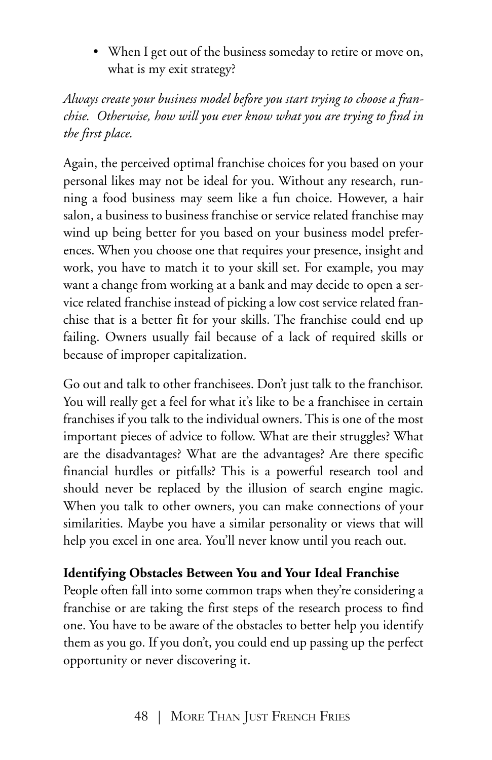• When I get out of the business someday to retire or move on, what is my exit strategy?

*Always create your business model before you start trying to choose a franchise. Otherwise, how will you ever know what you are trying to find in the first place.*

Again, the perceived optimal franchise choices for you based on your personal likes may not be ideal for you. Without any research, running a food business may seem like a fun choice. However, a hair salon, a business to business franchise or service related franchise may wind up being better for you based on your business model preferences. When you choose one that requires your presence, insight and work, you have to match it to your skill set. For example, you may want a change from working at a bank and may decide to open a service related franchise instead of picking a low cost service related franchise that is a better fit for your skills. The franchise could end up failing. Owners usually fail because of a lack of required skills or because of improper capitalization.

Go out and talk to other franchisees. Don't just talk to the franchisor. You will really get a feel for what it's like to be a franchisee in certain franchises if you talk to the individual owners. This is one of the most important pieces of advice to follow. What are their struggles? What are the disadvantages? What are the advantages? Are there specific financial hurdles or pitfalls? This is a powerful research tool and should never be replaced by the illusion of search engine magic. When you talk to other owners, you can make connections of your similarities. Maybe you have a similar personality or views that will help you excel in one area. You'll never know until you reach out.

### **Identifying Obstacles Between You and Your Ideal Franchise**

People often fall into some common traps when they're considering a franchise or are taking the first steps of the research process to find one. You have to be aware of the obstacles to better help you identify them as you go. If you don't, you could end up passing up the perfect opportunity or never discovering it.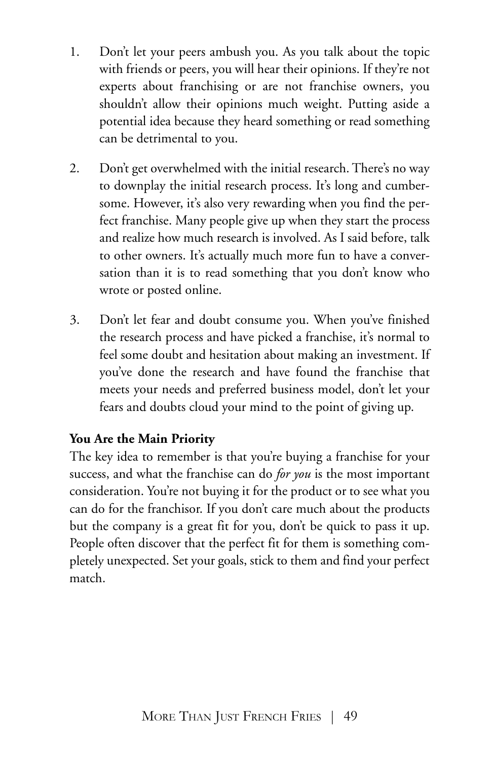- 1. Don't let your peers ambush you. As you talk about the topic with friends or peers, you will hear their opinions. If they're not experts about franchising or are not franchise owners, you shouldn't allow their opinions much weight. Putting aside a potential idea because they heard something or read something can be detrimental to you.
- 2. Don't get overwhelmed with the initial research. There's no way to downplay the initial research process. It's long and cumbersome. However, it's also very rewarding when you find the perfect franchise. Many people give up when they start the process and realize how much research is involved. As I said before, talk to other owners. It's actually much more fun to have a conversation than it is to read something that you don't know who wrote or posted online.
- 3. Don't let fear and doubt consume you. When you've finished the research process and have picked a franchise, it's normal to feel some doubt and hesitation about making an investment. If you've done the research and have found the franchise that meets your needs and preferred business model, don't let your fears and doubts cloud your mind to the point of giving up.

### **You Are the Main Priority**

The key idea to remember is that you're buying a franchise for your success, and what the franchise can do *for you* is the most important consideration. You're not buying it for the product or to see what you can do for the franchisor. If you don't care much about the products but the company is a great fit for you, don't be quick to pass it up. People often discover that the perfect fit for them is something completely unexpected. Set your goals, stick to them and find your perfect match.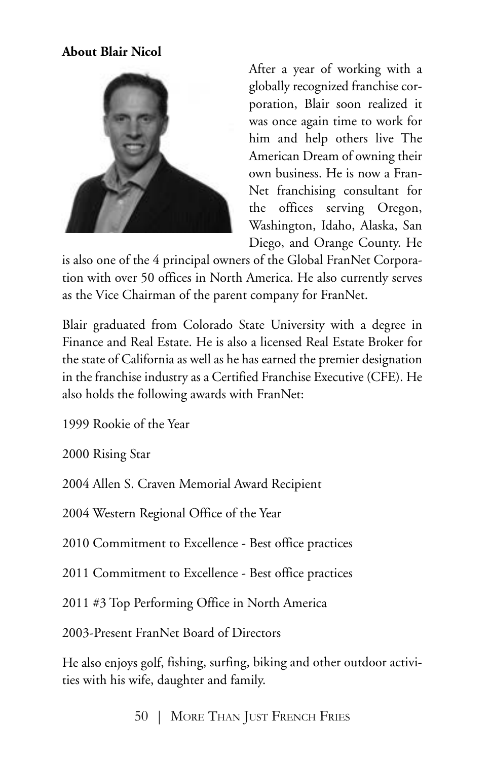#### **About Blair Nicol**



After a year of working with a globally recognized franchise corporation, Blair soon realized it was once again time to work for him and help others live The American Dream of owning their own business. He is now a Fran-Net franchising consultant for the offices serving Oregon, Washington, Idaho, Alaska, San Diego, and Orange County. He

is also one of the 4 principal owners of the Global FranNet Corporation with over 50 offices in North America. He also currently serves as the Vice Chairman of the parent company for FranNet.

Blair graduated from Colorado State University with a degree in Finance and Real Estate. He is also a licensed Real Estate Broker for the state of California as well as he has earned the premier designation in the franchise industry as a Certified Franchise Executive (CFE). He also holds the following awards with FranNet:

1999 Rookie of the Year

2000 Rising Star

2004 Allen S. Craven Memorial Award Recipient

2004 Western Regional Office of the Year

2010 Commitment to Excellence - Best office practices

2011 Commitment to Excellence - Best office practices

2011 #3 Top Performing Office in North America

2003-Present FranNet Board of Directors

He also enjoys golf, fishing, surfing, biking and other outdoor activities with his wife, daughter and family.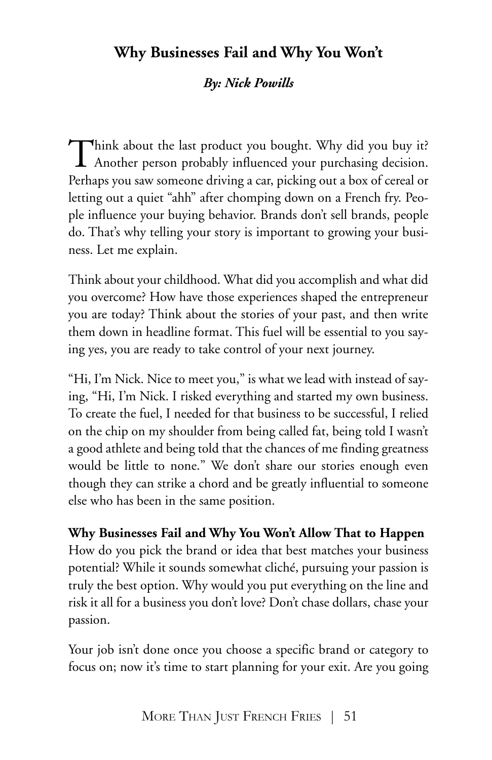# **Why Businesses Fail and Why You Won't**

### *By: Nick Powills*

Think about the last product you bought. Why did you buy it? Another person probably influenced your purchasing decision. Perhaps you saw someone driving a car, picking out a box of cereal or letting out a quiet "ahh" after chomping down on a French fry. People influence your buying behavior. Brands don't sell brands, people do. That's why telling your story is important to growing your business. Let me explain.

Think about your childhood. What did you accomplish and what did you overcome? How have those experiences shaped the entrepreneur you are today? Think about the stories of your past, and then write them down in headline format. This fuel will be essential to you saying yes, you are ready to take control of your next journey.

"Hi, I'm Nick. Nice to meet you," is what we lead with instead of saying, "Hi, I'm Nick. I risked everything and started my own business. To create the fuel, I needed for that business to be successful, I relied on the chip on my shoulder from being called fat, being told I wasn't a good athlete and being told that the chances of me finding greatness would be little to none." We don't share our stories enough even though they can strike a chord and be greatly influential to someone else who has been in the same position.

#### **Why Businesses Fail and Why You Won't Allow That to Happen**

How do you pick the brand or idea that best matches your business potential? While it sounds somewhat cliché, pursuing your passion is truly the best option. Why would you put everything on the line and risk it all for a business you don't love? Don't chase dollars, chase your passion.

Your job isn't done once you choose a specific brand or category to focus on; now it's time to start planning for your exit. Are you going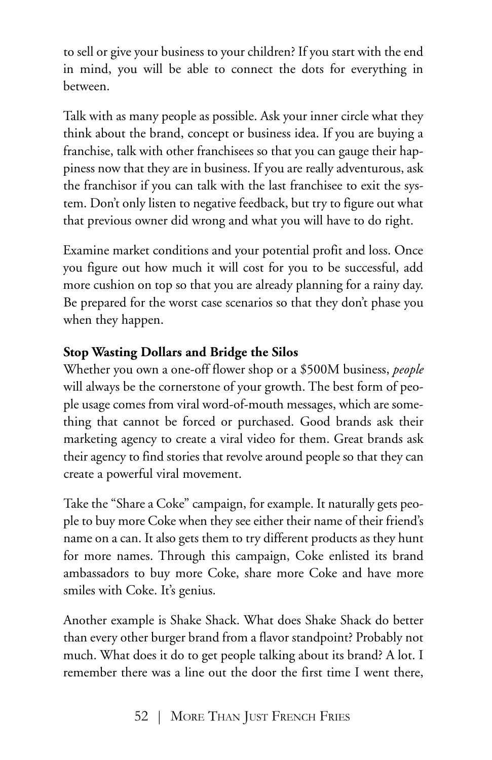to sell or give your business to your children? If you start with the end in mind, you will be able to connect the dots for everything in between.

Talk with as many people as possible. Ask your inner circle what they think about the brand, concept or business idea. If you are buying a franchise, talk with other franchisees so that you can gauge their happiness now that they are in business. If you are really adventurous, ask the franchisor if you can talk with the last franchisee to exit the system. Don't only listen to negative feedback, but try to figure out what that previous owner did wrong and what you will have to do right.

Examine market conditions and your potential profit and loss. Once you figure out how much it will cost for you to be successful, add more cushion on top so that you are already planning for a rainy day. Be prepared for the worst case scenarios so that they don't phase you when they happen.

## **Stop Wasting Dollars and Bridge the Silos**

Whether you own a one-off flower shop or a \$500M business, *people* will always be the cornerstone of your growth. The best form of people usage comes from viral word-of-mouth messages, which are something that cannot be forced or purchased. Good brands ask their marketing agency to create a viral video for them. Great brands ask their agency to find stories that revolve around people so that they can create a powerful viral movement.

Take the "Share a Coke" campaign, for example. It naturally gets people to buy more Coke when they see either their name of their friend's name on a can. It also gets them to try different products as they hunt for more names. Through this campaign, Coke enlisted its brand ambassadors to buy more Coke, share more Coke and have more smiles with Coke. It's genius.

Another example is Shake Shack. What does Shake Shack do better than every other burger brand from a flavor standpoint? Probably not much. What does it do to get people talking about its brand? A lot. I remember there was a line out the door the first time I went there,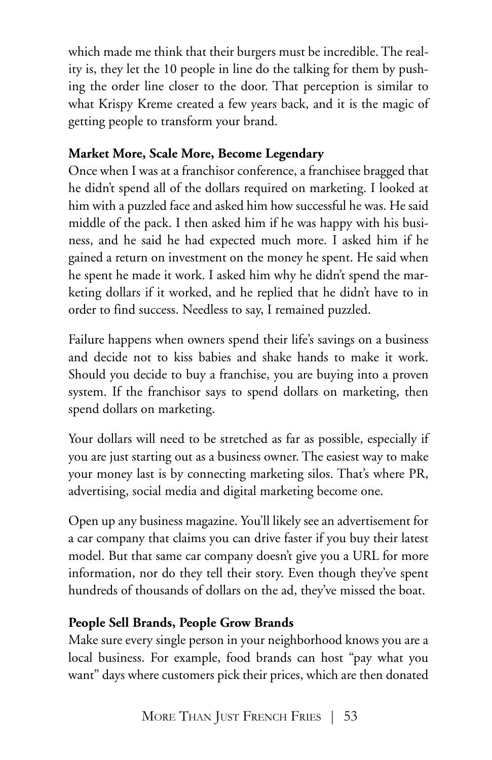which made me think that their burgers must be incredible. The reality is, they let the 10 people in line do the talking for them by pushing the order line closer to the door. That perception is similar to what Krispy Kreme created a few years back, and it is the magic of getting people to transform your brand.

## **Market More, Scale More, Become Legendary**

Once when I was at a franchisor conference, a franchisee bragged that he didn't spend all of the dollars required on marketing. I looked at him with a puzzled face and asked him how successful he was. He said middle of the pack. I then asked him if he was happy with his business, and he said he had expected much more. I asked him if he gained a return on investment on the money he spent. He said when he spent he made it work. I asked him why he didn't spend the marketing dollars if it worked, and he replied that he didn't have to in order to find success. Needless to say, I remained puzzled.

Failure happens when owners spend their life's savings on a business and decide not to kiss babies and shake hands to make it work. Should you decide to buy a franchise, you are buying into a proven system. If the franchisor says to spend dollars on marketing, then spend dollars on marketing.

Your dollars will need to be stretched as far as possible, especially if you are just starting out as a business owner. The easiest way to make your money last is by connecting marketing silos. That's where PR, advertising, social media and digital marketing become one.

Open up any business magazine. You'll likely see an advertisement for a car company that claims you can drive faster if you buy their latest model. But that same car company doesn't give you a URL for more information, nor do they tell their story. Even though they've spent hundreds of thousands of dollars on the ad, they've missed the boat.

## **People Sell Brands, People Grow Brands**

Make sure every single person in your neighborhood knows you are a local business. For example, food brands can host "pay what you want" days where customers pick their prices, which are then donated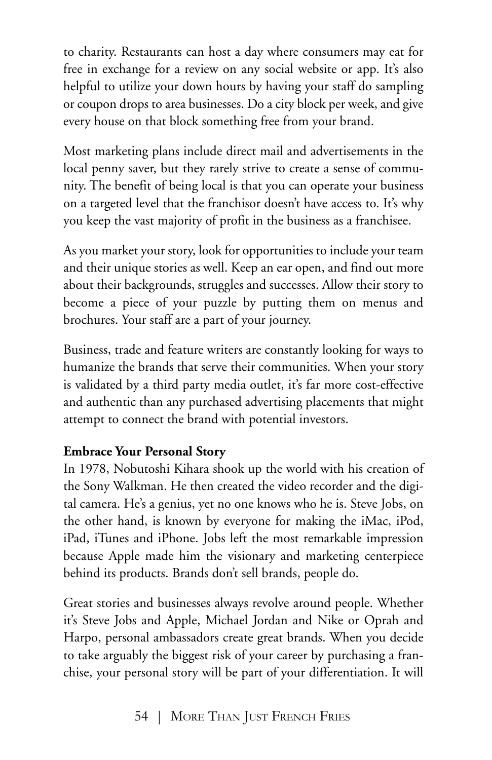to charity. Restaurants can host a day where consumers may eat for free in exchange for a review on any social website or app. It's also helpful to utilize your down hours by having your staff do sampling or coupon drops to area businesses. Do a city block per week, and give every house on that block something free from your brand.

Most marketing plans include direct mail and advertisements in the local penny saver, but they rarely strive to create a sense of community. The benefit of being local is that you can operate your business on a targeted level that the franchisor doesn't have access to. It's why you keep the vast majority of profit in the business as a franchisee.

As you market your story, look for opportunities to include your team and their unique stories as well. Keep an ear open, and find out more about their backgrounds, struggles and successes. Allow their story to become a piece of your puzzle by putting them on menus and brochures. Your staff are a part of your journey.

Business, trade and feature writers are constantly looking for ways to humanize the brands that serve their communities. When your story is validated by a third party media outlet, it's far more cost-effective and authentic than any purchased advertising placements that might attempt to connect the brand with potential investors.

### **Embrace Your Personal Story**

In 1978, Nobutoshi Kihara shook up the world with his creation of the Sony Walkman. He then created the video recorder and the digital camera. He's a genius, yet no one knows who he is. Steve Jobs, on the other hand, is known by everyone for making the iMac, iPod, iPad, iTunes and iPhone. Jobs left the most remarkable impression because Apple made him the visionary and marketing centerpiece behind its products. Brands don't sell brands, people do.

Great stories and businesses always revolve around people. Whether it's Steve Jobs and Apple, Michael Jordan and Nike or Oprah and Harpo, personal ambassadors create great brands. When you decide to take arguably the biggest risk of your career by purchasing a franchise, your personal story will be part of your differentiation. It will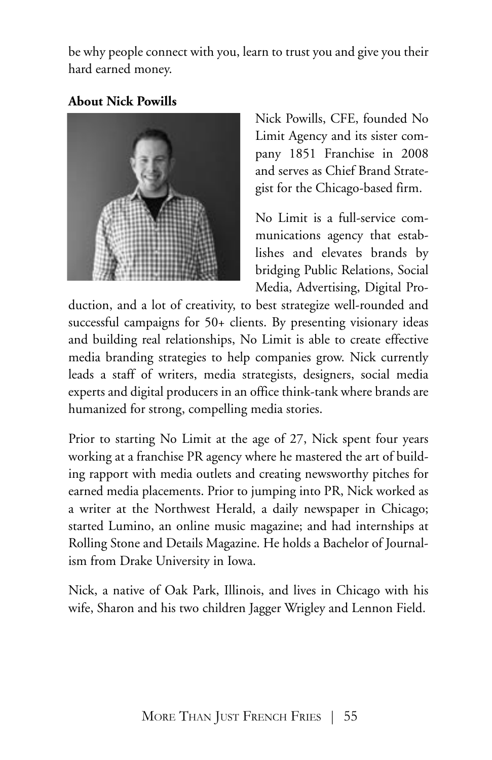be why people connect with you, learn to trust you and give you their hard earned money.

### **About Nick Powills**



Nick Powills, CFE, founded No Limit Agency and its sister company 1851 Franchise in 2008 and serves as Chief Brand Strategist for the Chicago-based firm.

No Limit is a full-service communications agency that establishes and elevates brands by bridging Public Relations, Social Media, Advertising, Digital Pro-

duction, and a lot of creativity, to best strategize well-rounded and successful campaigns for 50+ clients. By presenting visionary ideas and building real relationships, No Limit is able to create effective media branding strategies to help companies grow. Nick currently leads a staff of writers, media strategists, designers, social media experts and digital producers in an office think-tank where brands are humanized for strong, compelling media stories.

Prior to starting No Limit at the age of 27, Nick spent four years working at a franchise PR agency where he mastered the art of building rapport with media outlets and creating newsworthy pitches for earned media placements. Prior to jumping into PR, Nick worked as a writer at the Northwest Herald, a daily newspaper in Chicago; started Lumino, an online music magazine; and had internships at Rolling Stone and Details Magazine. He holds a Bachelor of Journalism from Drake University in Iowa.

Nick, a native of Oak Park, Illinois, and lives in Chicago with his wife, Sharon and his two children Jagger Wrigley and Lennon Field.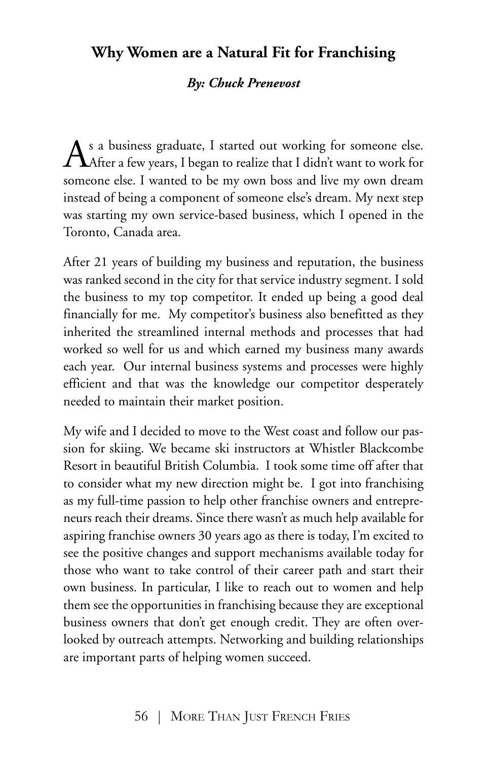## **Why Women are a Natural Fit for Franchising**

#### *By: Chuck Prenevost*

As a business graduate, I started out working for someone else.<br>After a few years, I began to realize that I didn't want to work for someone else. I wanted to be my own boss and live my own dream instead of being a component of someone else's dream. My next step was starting my own service-based business, which I opened in the Toronto, Canada area.

After 21 years of building my business and reputation, the business was ranked second in the city for that service industry segment. I sold the business to my top competitor. It ended up being a good deal financially for me. My competitor's business also benefitted as they inherited the streamlined internal methods and processes that had worked so well for us and which earned my business many awards each year. Our internal business systems and processes were highly efficient and that was the knowledge our competitor desperately needed to maintain their market position.

My wife and I decided to move to the West coast and follow our passion for skiing. We became ski instructors at Whistler Blackcombe Resort in beautiful British Columbia. I took some time off after that to consider what my new direction might be. I got into franchising as my full-time passion to help other franchise owners and entrepreneurs reach their dreams. Since there wasn't as much help available for aspiring franchise owners 30 years ago as there is today, I'm excited to see the positive changes and support mechanisms available today for those who want to take control of their career path and start their own business. In particular, I like to reach out to women and help them see the opportunities in franchising because they are exceptional business owners that don't get enough credit. They are often overlooked by outreach attempts. Networking and building relationships are important parts of helping women succeed.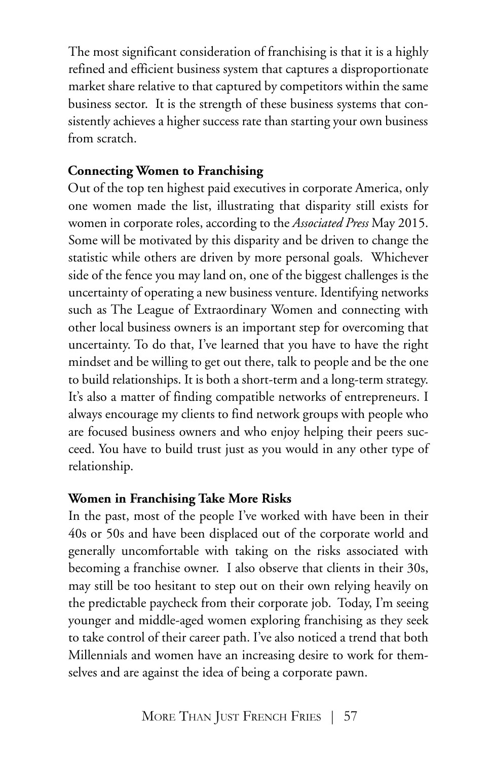The most significant consideration of franchising is that it is a highly refined and efficient business system that captures a disproportionate market share relative to that captured by competitors within the same business sector. It is the strength of these business systems that consistently achieves a higher success rate than starting your own business from scratch.

#### **Connecting Women to Franchising**

Out of the top ten highest paid executives in corporate America, only one women made the list, illustrating that disparity still exists for women in corporate roles, according to the *Associated Press* May 2015. Some will be motivated by this disparity and be driven to change the statistic while others are driven by more personal goals. Whichever side of the fence you may land on, one of the biggest challenges is the uncertainty of operating a new business venture. Identifying networks such as The League of Extraordinary Women and connecting with other local business owners is an important step for overcoming that uncertainty. To do that, I've learned that you have to have the right mindset and be willing to get out there, talk to people and be the one to build relationships. It is both a short-term and a long-term strategy. It's also a matter of finding compatible networks of entrepreneurs. I always encourage my clients to find network groups with people who are focused business owners and who enjoy helping their peers succeed. You have to build trust just as you would in any other type of relationship.

#### **Women in Franchising Take More Risks**

In the past, most of the people I've worked with have been in their 40s or 50s and have been displaced out of the corporate world and generally uncomfortable with taking on the risks associated with becoming a franchise owner. I also observe that clients in their 30s, may still be too hesitant to step out on their own relying heavily on the predictable paycheck from their corporate job. Today, I'm seeing younger and middle-aged women exploring franchising as they seek to take control of their career path. I've also noticed a trend that both Millennials and women have an increasing desire to work for themselves and are against the idea of being a corporate pawn.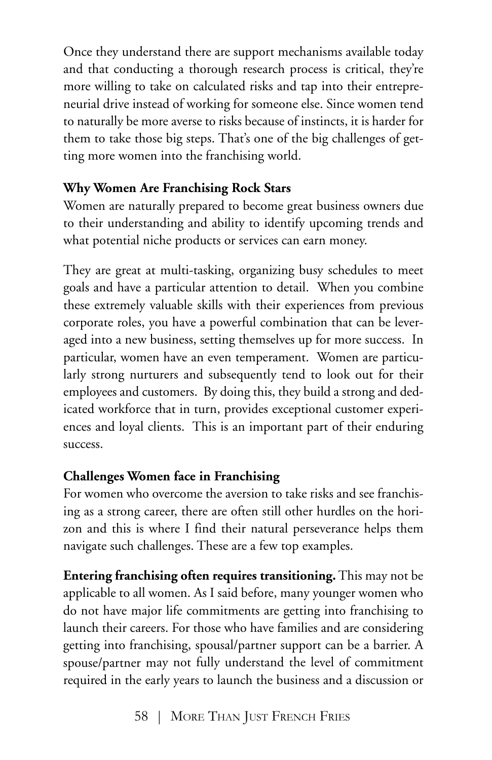Once they understand there are support mechanisms available today and that conducting a thorough research process is critical, they're more willing to take on calculated risks and tap into their entrepreneurial drive instead of working for someone else. Since women tend to naturally be more averse to risks because of instincts, it is harder for them to take those big steps. That's one of the big challenges of getting more women into the franchising world.

## **Why Women Are Franchising Rock Stars**

Women are naturally prepared to become great business owners due to their understanding and ability to identify upcoming trends and what potential niche products or services can earn money.

They are great at multi-tasking, organizing busy schedules to meet goals and have a particular attention to detail. When you combine these extremely valuable skills with their experiences from previous corporate roles, you have a powerful combination that can be leveraged into a new business, setting themselves up for more success. In particular, women have an even temperament. Women are particularly strong nurturers and subsequently tend to look out for their employees and customers. By doing this, they build a strong and dedicated workforce that in turn, provides exceptional customer experiences and loyal clients. This is an important part of their enduring success.

## **Challenges Women face in Franchising**

For women who overcome the aversion to take risks and see franchising as a strong career, there are often still other hurdles on the horizon and this is where I find their natural perseverance helps them navigate such challenges. These are a few top examples.

**Entering franchising often requires transitioning.** This may not be applicable to all women. As I said before, many younger women who do not have major life commitments are getting into franchising to launch their careers. For those who have families and are considering getting into franchising, spousal/partner support can be a barrier. A spouse/partner may not fully understand the level of commitment required in the early years to launch the business and a discussion or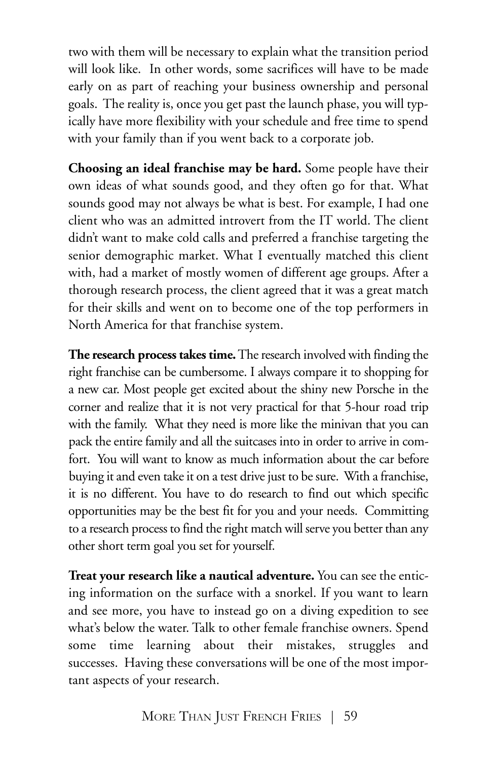two with them will be necessary to explain what the transition period will look like. In other words, some sacrifices will have to be made early on as part of reaching your business ownership and personal goals. The reality is, once you get past the launch phase, you will typically have more flexibility with your schedule and free time to spend with your family than if you went back to a corporate job.

**Choosing an ideal franchise may be hard.** Some people have their own ideas of what sounds good, and they often go for that. What sounds good may not always be what is best. For example, I had one client who was an admitted introvert from the IT world. The client didn't want to make cold calls and preferred a franchise targeting the senior demographic market. What I eventually matched this client with, had a market of mostly women of different age groups. After a thorough research process, the client agreed that it was a great match for their skills and went on to become one of the top performers in North America for that franchise system.

**The research process takes time.**Theresearch involved with finding the right franchise can be cumbersome. I always compare it to shopping for a new car. Most people get excited about the shiny new Porsche in the corner and realize that it is not very practical for that 5-hour road trip with the family. What they need is more like the minivan that you can pack the entire family and all the suitcases into in order to arrive in comfort. You will want to know as much information about the car before buying it and even take it on a test drive just to be sure. With a franchise, it is no different. You have to do research to find out which specific opportunities may be the best fit for you and your needs. Committing to a research process to find the right match will serve you better than any other short term goal you set for yourself.

**Treat your research like a nautical adventure.** You can see the enticing information on the surface with a snorkel. If you want to learn and see more, you have to instead go on a diving expedition to see what's below the water. Talk to other female franchise owners. Spend some time learning about their mistakes, struggles and successes. Having these conversations will be one of the most important aspects of your research.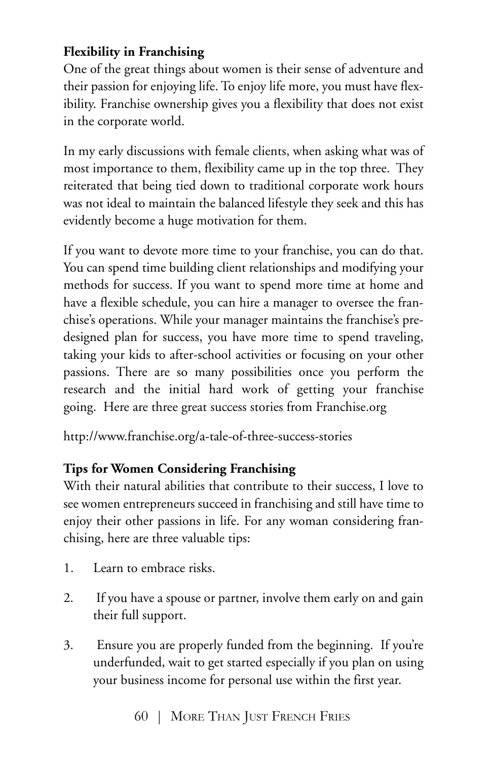## **Flexibility in Franchising**

One of the great things about women is their sense of adventure and their passion for enjoying life. To enjoy life more, you must have flexibility. Franchise ownership gives you a flexibility that does not exist in the corporate world.

In my early discussions with female clients, when asking what was of most importance to them, flexibility came up in the top three. They reiterated that being tied down to traditional corporate work hours was not ideal to maintain the balanced lifestyle they seek and this has evidently become a huge motivation for them.

If you want to devote more time to your franchise, you can do that. You can spend time building client relationships and modifying your methods for success. If you want to spend more time at home and have a flexible schedule, you can hire a manager to oversee the franchise's operations. While your manager maintains the franchise's predesigned plan for success, you have more time to spend traveling, taking your kids to after-school activities or focusing on your other passions. There are so many possibilities once you perform the research and the initial hard work of getting your franchise going. Here are three great success stories from Franchise.org

http://www.franchise.org/a-tale-of-three-success-stories

# **Tips for Women Considering Franchising**

With their natural abilities that contribute to their success, I love to see women entrepreneurs succeed in franchising and still have time to enjoy their other passions in life. For any woman considering franchising, here are three valuable tips:

- 1. Learn to embrace risks.
- 2. If you have a spouse or partner, involve them early on and gain their full support.
- 3. Ensure you are properly funded from the beginning. If you're underfunded, wait to get started especially if you plan on using your business income for personal use within the first year.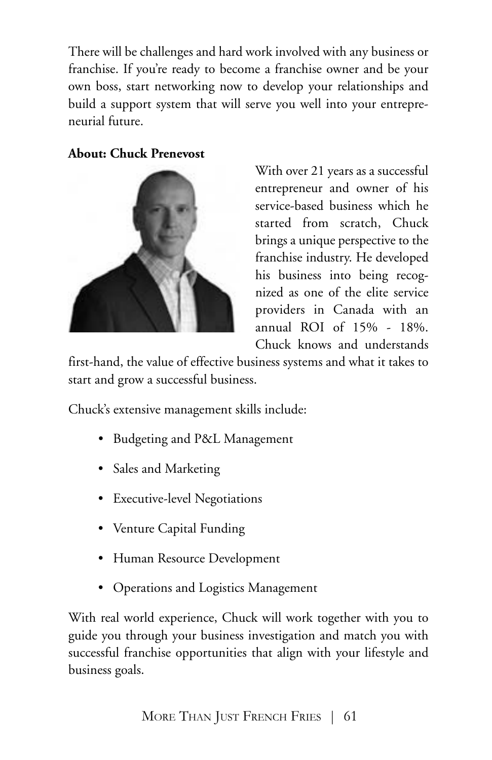There will be challenges and hard work involved with any business or franchise. If you're ready to become a franchise owner and be your own boss, start networking now to develop your relationships and build a support system that will serve you well into your entrepreneurial future.

#### **About: Chuck Prenevost**



With over 21 years as a successful entrepreneur and owner of his service-based business which he started from scratch, Chuck brings a unique perspective to the franchise industry. He developed his business into being recognized as one of the elite service providers in Canada with an annual ROI of 15% - 18%. Chuck knows and understands

first-hand, the value of effective business systems and what it takes to start and grow a successful business.

Chuck's extensive management skills include:

- Budgeting and P&L Management
- Sales and Marketing
- Executive-level Negotiations
- Venture Capital Funding
- Human Resource Development
- Operations and Logistics Management

With real world experience, Chuck will work together with you to guide you through your business investigation and match you with successful franchise opportunities that align with your lifestyle and business goals.